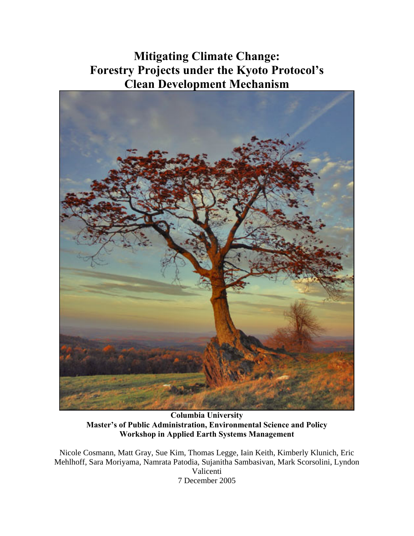## **Mitigating Climate Change: Forestry Projects under the Kyoto Protocol's Clean Development Mechanism**



**Columbia University Master's of Public Administration, Environmental Science and Policy Workshop in Applied Earth Systems Management** 

Nicole Cosmann, Matt Gray, Sue Kim, Thomas Legge, Iain Keith, Kimberly Klunich, Eric Mehlhoff, Sara Moriyama, Namrata Patodia, Sujanitha Sambasivan, Mark Scorsolini, Lyndon Valicenti 7 December 2005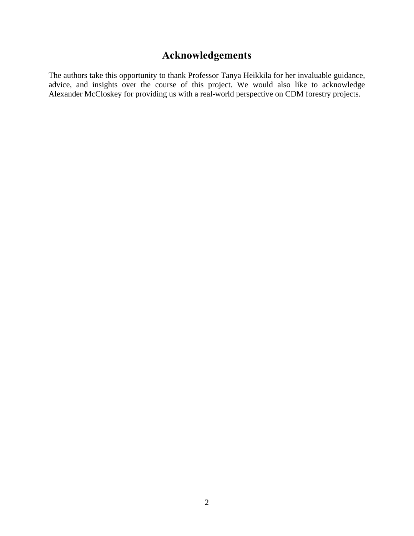## **Acknowledgements**

The authors take this opportunity to thank Professor Tanya Heikkila for her invaluable guidance, advice, and insights over the course of this project. We would also like to acknowledge Alexander McCloskey for providing us with a real-world perspective on CDM forestry projects.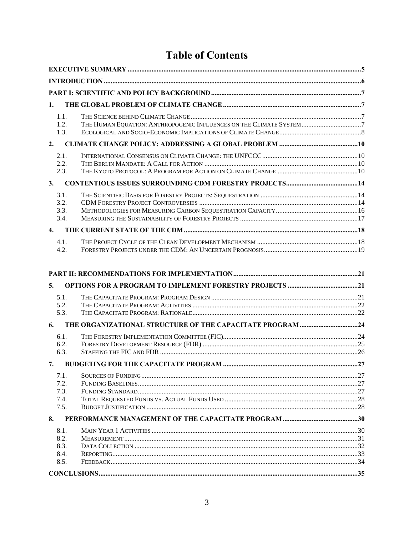## **Table of Contents**

| 1. |                                      |  |
|----|--------------------------------------|--|
|    | 1.1.<br>1.2.<br>1.3.                 |  |
| 2. |                                      |  |
|    | 2.1.<br>2.2.<br>2.3.                 |  |
| 3. |                                      |  |
|    | 3.1.<br>3.2.<br>3.3.<br>3.4.         |  |
| 4. |                                      |  |
|    | 4.1.<br>4.2.                         |  |
|    |                                      |  |
| 5. |                                      |  |
|    | 5.1.<br>5.2.<br>5.3.                 |  |
| 6. |                                      |  |
|    | 6.1.<br>6.2.<br>6.3.                 |  |
|    |                                      |  |
|    | 7.1.<br>7.2.<br>7.3.<br>7.4.<br>7.5. |  |
|    |                                      |  |

| 8.1. |  |
|------|--|
| 8.2. |  |
| 8.3. |  |
| 8.4. |  |
| 8.5  |  |
|      |  |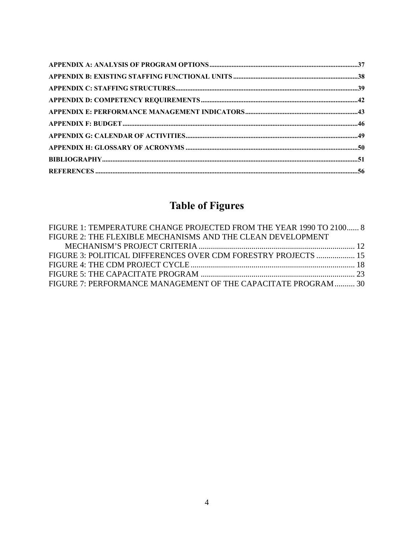## **Table of Figures**

| FIGURE 1: TEMPERATURE CHANGE PROJECTED FROM THE YEAR 1990 TO 2100 8 |  |
|---------------------------------------------------------------------|--|
| FIGURE 2: THE FLEXIBLE MECHANISMS AND THE CLEAN DEVELOPMENT         |  |
|                                                                     |  |
| FIGURE 3: POLITICAL DIFFERENCES OVER CDM FORESTRY PROJECTS  15      |  |
|                                                                     |  |
|                                                                     |  |
| FIGURE 7: PERFORMANCE MANAGEMENT OF THE CAPACITATE PROGRAM  30      |  |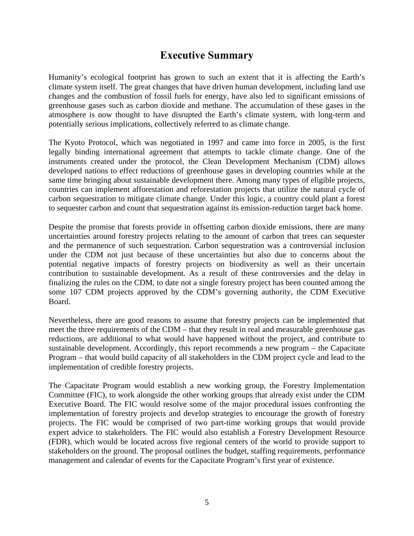### **Executive Summary**

<span id="page-4-0"></span>Humanity's ecological footprint has grown to such an extent that it is affecting the Earth's climate system itself. The great changes that have driven human development, including land use changes and the combustion of fossil fuels for energy, have also led to significant emissions of greenhouse gases such as carbon dioxide and methane. The accumulation of these gases in the atmosphere is now thought to have disrupted the Earth's climate system, with long-term and potentially serious implications, collectively referred to as climate change.

The Kyoto Protocol, which was negotiated in 1997 and came into force in 2005, is the first legally binding international agreement that attempts to tackle climate change. One of the instruments created under the protocol, the Clean Development Mechanism (CDM) allows developed nations to effect reductions of greenhouse gases in developing countries while at the same time bringing about sustainable development there. Among many types of eligible projects, countries can implement afforestation and reforestation projects that utilize the natural cycle of carbon sequestration to mitigate climate change. Under this logic, a country could plant a forest to sequester carbon and count that sequestration against its emission-reduction target back home.

Despite the promise that forests provide in offsetting carbon dioxide emissions, there are many uncertainties around forestry projects relating to the amount of carbon that trees can sequester and the permanence of such sequestration. Carbon sequestration was a controversial inclusion under the CDM not just because of these uncertainties but also due to concerns about the potential negative impacts of forestry projects on biodiversity as well as their uncertain contribution to sustainable development. As a result of these controversies and the delay in finalizing the rules on the CDM, to date not a single forestry project has been counted among the some 107 CDM projects approved by the CDM's governing authority, the CDM Executive Board.

Nevertheless, there are good reasons to assume that forestry projects can be implemented that meet the three requirements of the CDM – that they result in real and measurable greenhouse gas reductions, are additional to what would have happened without the project, and contribute to sustainable development. Accordingly, this report recommends a new program – the Capacitate Program – that would build capacity of all stakeholders in the CDM project cycle and lead to the implementation of credible forestry projects.

The Capacitate Program would establish a new working group, the Forestry Implementation Committee (FIC), to work alongside the other working groups that already exist under the CDM Executive Board. The FIC would resolve some of the major procedural issues confronting the implementation of forestry projects and develop strategies to encourage the growth of forestry projects. The FIC would be comprised of two part-time working groups that would provide expert advice to stakeholders. The FIC would also establish a Forestry Development Resource (FDR), which would be located across five regional centers of the world to provide support to stakeholders on the ground. The proposal outlines the budget, staffing requirements, performance management and calendar of events for the Capacitate Program's first year of existence.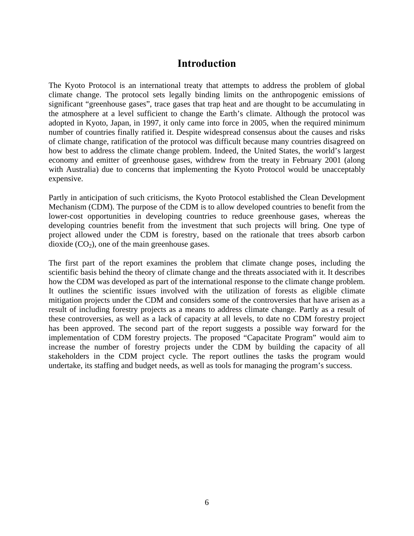#### **Introduction**

<span id="page-5-0"></span>The Kyoto Protocol is an international treaty that attempts to address the problem of global climate change. The protocol sets legally binding limits on the anthropogenic emissions of significant "greenhouse gases", trace gases that trap heat and are thought to be accumulating in the atmosphere at a level sufficient to change the Earth's climate. Although the protocol was adopted in Kyoto, Japan, in 1997, it only came into force in 2005, when the required minimum number of countries finally ratified it. Despite widespread consensus about the causes and risks of climate change, ratification of the protocol was difficult because many countries disagreed on how best to address the climate change problem. Indeed, the United States, the world's largest economy and emitter of greenhouse gases, withdrew from the treaty in February 2001 (along with Australia) due to concerns that implementing the Kyoto Protocol would be unacceptably expensive.

Partly in anticipation of such criticisms, the Kyoto Protocol established the Clean Development Mechanism (CDM). The purpose of the CDM is to allow developed countries to benefit from the lower-cost opportunities in developing countries to reduce greenhouse gases, whereas the developing countries benefit from the investment that such projects will bring. One type of project allowed under the CDM is forestry, based on the rationale that trees absorb carbon dioxide  $(CO<sub>2</sub>)$ , one of the main greenhouse gases.

The first part of the report examines the problem that climate change poses, including the scientific basis behind the theory of climate change and the threats associated with it. It describes how the CDM was developed as part of the international response to the climate change problem. It outlines the scientific issues involved with the utilization of forests as eligible climate mitigation projects under the CDM and considers some of the controversies that have arisen as a result of including forestry projects as a means to address climate change. Partly as a result of these controversies, as well as a lack of capacity at all levels, to date no CDM forestry project has been approved. The second part of the report suggests a possible way forward for the implementation of CDM forestry projects. The proposed "Capacitate Program" would aim to increase the number of forestry projects under the CDM by building the capacity of all stakeholders in the CDM project cycle. The report outlines the tasks the program would undertake, its staffing and budget needs, as well as tools for managing the program's success.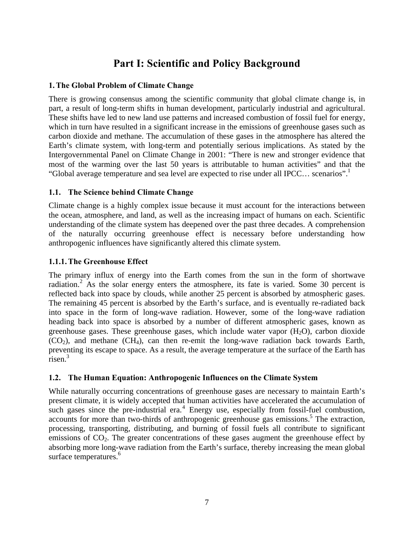## **Part I: Scientific and Policy Background**

#### <span id="page-6-0"></span>**1.The Global Problem of Climate Change**

There is growing consensus among the scientific community that global climate change is, in part, a result of long-term shifts in human development, particularly industrial and agricultural. These shifts have led to new land use patterns and increased combustion of fossil fuel for energy, which in turn have resulted in a significant increase in the emissions of greenhouse gases such as carbon dioxide and methane. The accumulation of these gases in the atmosphere has altered the Earth's climate system, with long-term and potentially serious implications. As stated by the Intergovernmental Panel on Climate Change in 2001: "There is new and stronger evidence that most of the warming over the last 50 years is attributable to human activities" and that the "Global average temperature and sea level are expected to rise under all IPCC... scenarios".

#### **1.1. The Science behind Climate Change**

Climate change is a highly complex issue because it must account for the interactions between the ocean, atmosphere, and land, as well as the increasing impact of humans on each. Scientific understanding of the climate system has deepened over the past three decades. A comprehension of the naturally occurring greenhouse effect is necessary before understanding how anthropogenic influences have significantly altered this climate system.

#### **1.1.1.The Greenhouse Effect**

The primary influx of energy into the Earth comes from the sun in the form of shortwave radiation.<sup>2</sup>As the solar energy enters the atmosphere, its fate is varied. Some 30 percent is reflected back into space by clouds, while another 25 percent is absorbed by atmospheric gases. The remaining 45 percent is absorbed by the Earth's surface, and is eventually re-radiated back into space in the form of long-wave radiation. However, some of the long-wave radiation heading back into space is absorbed by a number of different atmospheric gases, known as greenhouse gases. These greenhouse gases, which include water vapor  $(H_2O)$ , carbon dioxide  $(CO<sub>2</sub>)$ , and methane  $(CH<sub>4</sub>)$ , can then re-emit the long-wave radiation back towards Earth, preventing its escape to space. As a result, the average temperature at the surface of the Earth has risen.<sup>3</sup>

#### **1.2. The Human Equation: Anthropogenic Influences on the Climate System**

While naturally occurring concentrations of greenhouse gases are necessary to maintain Earth's present climate, it is widely accepted that human activities have accelerated the accumulation of suchgases since the pre-industrial era.<sup>4</sup> Energy use, especially from fossil-fuel combustion, accountsfor more than two-thirds of anthropogenic greenhouse gas emissions.<sup>5</sup> The extraction, processing, transporting, distributing, and burning of fossil fuels all contribute to significant emissions of  $CO<sub>2</sub>$ . The greater concentrations of these gases augment the greenhouse effect by absorbing more long-wave radiation from the Earth's surface, thereby increasing the mean global surface temperatures.<sup>[6](#page-57-5)</sup>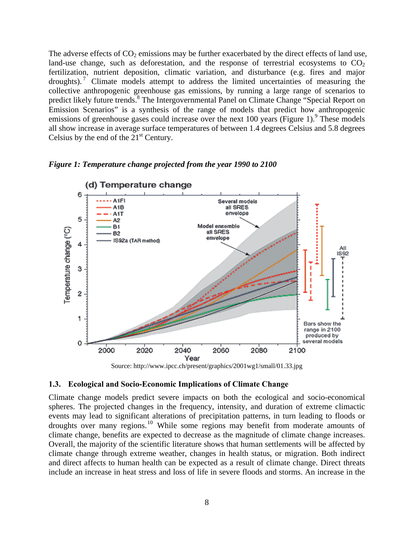<span id="page-7-0"></span>The adverse effects of  $CO_2$  emissions may be further exacerbated by the direct effects of land use, land-use change, such as deforestation, and the response of terrestrial ecosystems to  $CO<sub>2</sub>$ fertilization, nutrient deposition, climatic variation, and disturbance (e.g. fires and major droughts).<sup>7</sup> Climate models attempt to address the limited uncertainties of measuring the collective anthropogenic greenhouse gas emissions, by running a large range of scenarios to predict likely future trends.<sup>[8](#page-57-7)</sup> The Intergovernmental Panel on Climate Change "Special Report on Emission Scenarios" is a synthesis of the range of models that predict how anthropogenic emissionsof greenhouse gases could increase over the next 100 years (Figure 1).<sup>9</sup> These models all show increase in average surface temperatures of between 1.4 degrees Celsius and 5.8 degrees Celsius by the end of the  $21<sup>st</sup>$  Century.

#### *Figure 1: Temperature change projected from the year 1990 to 2100*





#### **1.3. Ecological and Socio-Economic Implications of Climate Change**

Climate change models predict severe impacts on both the ecological and socio-economical spheres. The projected changes in the frequency, intensity, and duration of extreme climactic events may lead to significant alterations of precipitation patterns, in turn leading to floods or droughts over many regions.[10](#page-57-9) While some regions may benefit from moderate amounts of climate change, benefits are expected to decrease as the magnitude of climate change increases. Overall, the majority of the scientific literature shows that human settlements will be affected by climate change through extreme weather, changes in health status, or migration. Both indirect and direct affects to human health can be expected as a result of climate change. Direct threats include an increase in heat stress and loss of life in severe floods and storms. An increase in the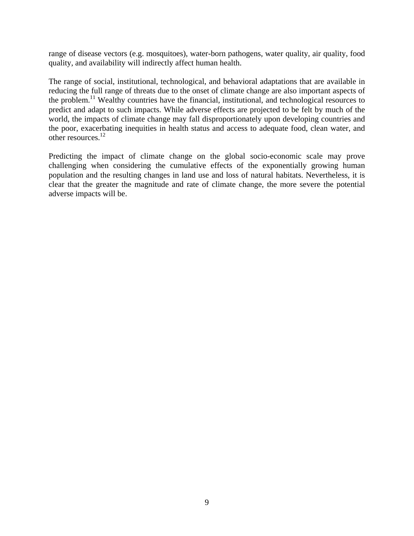range of disease vectors (e.g. mosquitoes), water-born pathogens, water quality, air quality, food quality, and availability will indirectly affect human health.

The range of social, institutional, technological, and behavioral adaptations that are available in reducing the full range of threats due to the onset of climate change are also important aspects of the problem.<sup>11</sup> Wealthy countries have the financial, institutional, and technological resources to predict and adapt to such impacts. While adverse effects are projected to be felt by much of the world, the impacts of climate change may fall disproportionately upon developing countries and the poor, exacerbating inequities in health status and access to adequate food, clean water, and other resources.<sup>12</sup>

Predicting the impact of climate change on the global socio-economic scale may prove challenging when considering the cumulative effects of the exponentially growing human population and the resulting changes in land use and loss of natural habitats. Nevertheless, it is clear that the greater the magnitude and rate of climate change, the more severe the potential adverse impacts will be.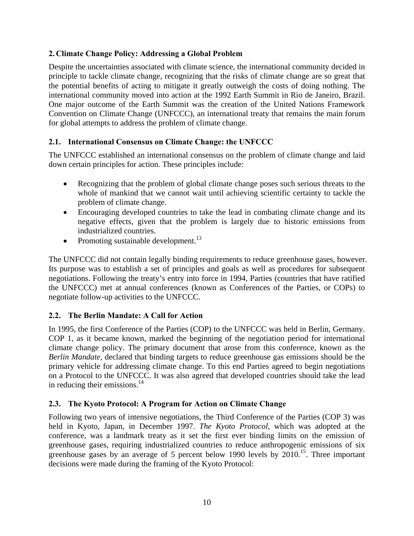#### <span id="page-9-0"></span>**2. Climate Change Policy: Addressing a Global Problem**

Despite the uncertainties associated with climate science, the international community decided in principle to tackle climate change, recognizing that the risks of climate change are so great that the potential benefits of acting to mitigate it greatly outweigh the costs of doing nothing. The international community moved into action at the 1992 Earth Summit in Rio de Janeiro, Brazil. One major outcome of the Earth Summit was the creation of the United Nations Framework Convention on Climate Change (UNFCCC), an international treaty that remains the main forum for global attempts to address the problem of climate change.

#### **2.1. International Consensus on Climate Change: the UNFCCC**

The UNFCCC established an international consensus on the problem of climate change and laid down certain principles for action. These principles include:

- Recognizing that the problem of global climate change poses such serious threats to the whole of mankind that we cannot wait until achieving scientific certainty to tackle the problem of climate change.
- Encouraging developed countries to take the lead in combating climate change and its negative effects, given that the problem is largely due to historic emissions from industrialized countries.
- Promoting sustainable development.<sup>13</sup>

The UNFCCC did not contain legally binding requirements to reduce greenhouse gases, however. Its purpose was to establish a set of principles and goals as well as procedures for subsequent negotiations. Following the treaty's entry into force in 1994, Parties (countries that have ratified the UNFCCC) met at annual conferences (known as Conferences of the Parties, or COPs) to negotiate follow-up activities to the UNFCCC.

#### **2.2. The Berlin Mandate: A Call for Action**

In 1995, the first Conference of the Parties (COP) to the UNFCCC was held in Berlin, Germany. COP 1, as it became known, marked the beginning of the negotiation period for international climate change policy. The primary document that arose from this conference, known as the *Berlin Mandate*, declared that binding targets to reduce greenhouse gas emissions should be the primary vehicle for addressing climate change. To this end Parties agreed to begin negotiations on a Protocol to the UNFCCC. It was also agreed that developed countries should take the lead in reducing their emissions. $^{14}$  $^{14}$  $^{14}$ 

#### **2.3. The Kyoto Protocol: A Program for Action on Climate Change**

Following two years of intensive negotiations, the Third Conference of the Parties (COP 3) was held in Kyoto, Japan, in December 1997. *The Kyoto Protocol,* which was adopted at the conference, was a landmark treaty as it set the first ever binding limits on the emission of greenhouse gases, requiring industrialized countries to reduce anthropogenic emissions of six greenhouse gases by an average of 5 percent below 1990 levels by  $2010^{15}$ . Three important decisions were made during the framing of the Kyoto Protocol: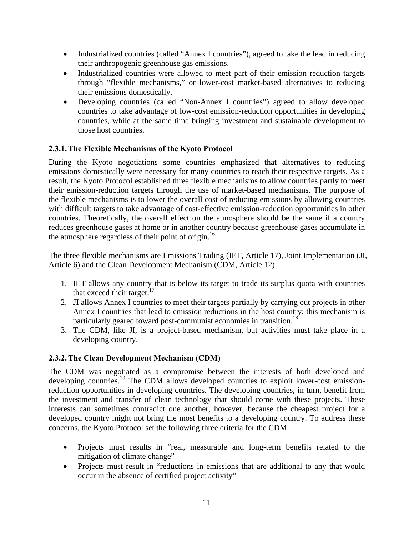- Industrialized countries (called "Annex I countries"), agreed to take the lead in reducing their anthropogenic greenhouse gas emissions.
- Industrialized countries were allowed to meet part of their emission reduction targets through "flexible mechanisms," or lower-cost market-based alternatives to reducing their emissions domestically.
- Developing countries (called "Non-Annex I countries") agreed to allow developed countries to take advantage of low-cost emission-reduction opportunities in developing countries, while at the same time bringing investment and sustainable development to those host countries.

#### **2.3.1.The Flexible Mechanisms of the Kyoto Protocol**

During the Kyoto negotiations some countries emphasized that alternatives to reducing emissions domestically were necessary for many countries to reach their respective targets. As a result, the Kyoto Protocol established three flexible mechanisms to allow countries partly to meet their emission-reduction targets through the use of market-based mechanisms. The purpose of the flexible mechanisms is to lower the overall cost of reducing emissions by allowing countries with difficult targets to take advantage of cost-effective emission-reduction opportunities in other countries. Theoretically, the overall effect on the atmosphere should be the same if a country reduces greenhouse gases at home or in another country because greenhouse gases accumulate in the atmosphere regardless of their point of origin.<sup>[16](#page-57-15)</sup>

The three flexible mechanisms are Emissions Trading (IET, Article 17), Joint Implementation (JI, Article 6) and the Clean Development Mechanism (CDM, Article 12).

- 1. IET allows any country that is below its target to trade its surplus quota with countries that exceed their target. $17$
- 2. JI allows Annex I countries to meet their targets partially by carrying out projects in other Annex I countries that lead to emission reductions in the host country; this mechanism is particularly geared toward post-communist economies in transition.<sup>18</sup>
- 3. The CDM, like JI, is a project-based mechanism, but activities must take place in a developing country.

#### **2.3.2.The Clean Development Mechanism (CDM)**

The CDM was negotiated as a compromise between the interests of both developed and developing countries.<sup>19</sup> The CDM allows developed countries to exploit lower-cost emissionreduction opportunities in developing countries. The developing countries, in turn, benefit from the investment and transfer of clean technology that should come with these projects. These interests can sometimes contradict one another, however, because the cheapest project for a developed country might not bring the most benefits to a developing country. To address these concerns, the Kyoto Protocol set the following three criteria for the CDM:

- Projects must results in "real, measurable and long-term benefits related to the mitigation of climate change"
- Projects must result in "reductions in emissions that are additional to any that would occur in the absence of certified project activity"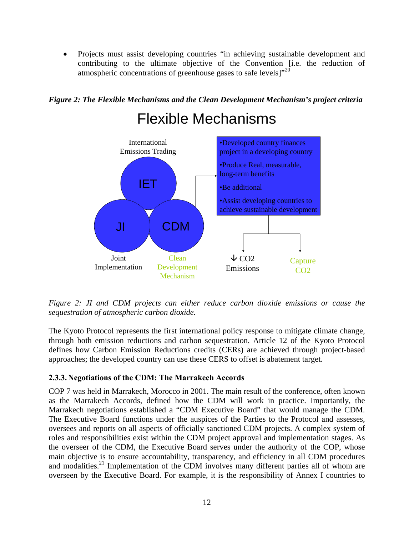<span id="page-11-0"></span>• Projects must assist developing countries "in achieving sustainable development and contributing to the ultimate objective of the Convention [i.e. the reduction of atmospheric concentrations of greenhouse gases to safe levels]"[20](#page-57-19)"



## Flexible Mechanisms



*Figure 2: JI and CDM projects can either reduce carbon dioxide emissions or cause the sequestration of atmospheric carbon dioxide.* 

The Kyoto Protocol represents the first international policy response to mitigate climate change, through both emission reductions and carbon sequestration. Article 12 of the Kyoto Protocol defines how Carbon Emission Reductions credits (CERs) are achieved through project-based approaches; the developed country can use these CERS to offset is abatement target.

#### **2.3.3. Negotiations of the CDM: The Marrakech Accords**

COP 7 was held in Marrakech, Morocco in 2001. The main result of the conference, often known as the Marrakech Accords, defined how the CDM will work in practice. Importantly, the Marrakech negotiations established a "CDM Executive Board" that would manage the CDM. The Executive Board functions under the auspices of the Parties to the Protocol and assesses, oversees and reports on all aspects of officially sanctioned CDM projects. A complex system of roles and responsibilities exist within the CDM project approval and implementation stages. As the overseer of the CDM, the Executive Board serves under the authority of the COP, whose main objective is to ensure accountability, transparency, and efficiency in all CDM procedures and modalities.<sup>21</sup> [Im](#page-20-1)plementation of the CDM involves many different parties all of whom are overseen by the Executive Board. For example, it is the responsibility of Annex I countries to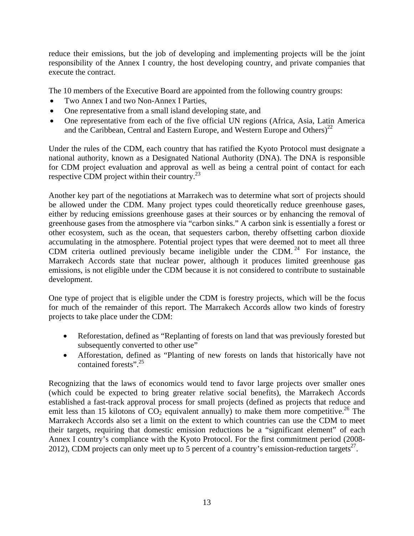reduce their emissions, but the job of developing and implementing projects will be the joint responsibility of the Annex I country, the host developing country, and private companies that execute the contract.

The 10 members of the Executive Board are appointed from the following country groups:

- Two Annex I and two Non-Annex I Parties,
- One representative from a small island developing state, and
- One representative from each of the five official UN regions (Africa, Asia, Latin America and the Caribbean, Central and Eastern Europe, and Western Europe and Others)<sup>22</sup>

Under the rules of the CDM, each country that has ratified the Kyoto Protocol must designate a national authority, known as a Designated National Authority (DNA). The DNA is responsible for CDM project evaluation and approval as well as being a central point of contact for each respective CDM project within their country.<sup>23</sup>

Another key part of the negotiations at Marrakech was to determine what sort of projects should be allowed under the CDM. Many project types could theoretically reduce greenhouse gases, either by reducing emissions greenhouse gases at their sources or by enhancing the removal of greenhouse gases from the atmosphere via "carbon sinks." A carbon sink is essentially a forest or other ecosystem, such as the ocean, that sequesters carbon, thereby offsetting carbon dioxide accumulating in the atmosphere. Potential project types that were deemed not to meet all three CDM criteria outlined previously became ineligible under the CDM.<sup>24</sup> For instance, the Marrakech Accords state that nuclear power, although it produces limited greenhouse gas emissions, is not eligible under the CDM because it is not considered to contribute to sustainable development.

One type of project that is eligible under the CDM is forestry projects, which will be the focus for much of the remainder of this report. The Marrakech Accords allow two kinds of forestry projects to take place under the CDM:

- Reforestation, defined as "Replanting of forests on land that was previously forested but subsequently converted to other use"
- Afforestation, defined as "Planting of new forests on lands that historically have not contained forests".<sup>[25](#page-57-24)</sup>

Recognizing that the laws of economics would tend to favor large projects over smaller ones (which could be expected to bring greater relative social benefits), the Marrakech Accords established a fast-track approval process for small projects (defined as projects that reduce and emit less than 15 kilotons of  $CO<sub>2</sub>$  equivalent annually) to make them more competitive.<sup>26</sup> The Marrakech Accords also set a limit on the extent to which countries can use the CDM to meet their targets, requiring that domestic emission reductions be a "significant element" of each Annex I country's compliance with the Kyoto Protocol. For the first commitment period (2008- 2012), CDM projects can only meet up to 5 percent of a country's emission-reduction targets<sup>27</sup>.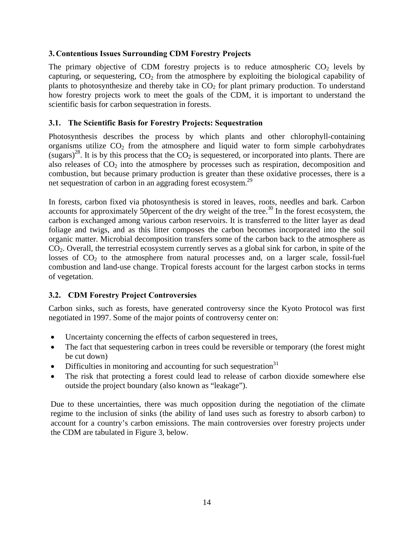#### <span id="page-13-0"></span>**3. Contentious Issues Surrounding CDM Forestry Projects**

The primary objective of CDM forestry projects is to reduce atmospheric  $CO<sub>2</sub>$  levels by capturing, or sequestering,  $CO<sub>2</sub>$  from the atmosphere by exploiting the biological capability of plants to photosynthesize and thereby take in  $CO<sub>2</sub>$  for plant primary production. To understand how forestry projects work to meet the goals of the CDM, it is important to understand the scientific basis for carbon sequestration in forests.

#### **3.1. The Scientific Basis for Forestry Projects: Sequestration**

Photosynthesis describes the process by which plants and other chlorophyll-containing organisms utilize  $CO<sub>2</sub>$  from the atmosphere and liquid water to form simple carbohydrates  $(sugars)^{28}$ . It is by this process that the  $CO<sub>2</sub>$  is sequestered, or incorporated into plants. There are also releases of  $CO<sub>2</sub>$  into the atmosphere by processes such as respiration, decomposition and combustion, but because primary production is greater than these oxidative processes, there is a net sequestration of carbon in an aggrading forest ecosystem. [29](#page-57-28) 

In forests, carbon fixed via photosynthesis is stored in leaves, roots, needles and bark. Carbon accounts for approximately 50percent of the dry weight of the tree.<sup>30</sup> In the forest ecosystem, the carbon is exchanged among various carbon reservoirs. It is transferred to the litter layer as dead foliage and twigs, and as this litter composes the carbon becomes incorporated into the soil organic matter. Microbial decomposition transfers some of the carbon back to the atmosphere as CO2. Overall, the terrestrial ecosystem currently serves as a global sink for carbon, in spite of the losses of  $CO<sub>2</sub>$  to the atmosphere from natural processes and, on a larger scale, fossil-fuel combustion and land-use change. Tropical forests account for the largest carbon stocks in terms of vegetation.

#### **3.2. CDM Forestry Project Controversies**

Carbon sinks, such as forests, have generated controversy since the Kyoto Protocol was first negotiated in 1997. Some of the major points of controversy center on:

- Uncertainty concerning the effects of carbon sequestered in trees,
- The fact that sequestering carbon in trees could be reversible or temporary (the forest might be cut down)
- Difficulties in monitoring and accounting for such sequestration $31$
- The risk that protecting a forest could lead to release of carbon dioxide somewhere else outside the project boundary (also known as "leakage").

Due to these uncertainties, there was much opposition during the negotiation of the climate regime to the inclusion of sinks (the ability of land uses such as forestry to absorb carbon) to account for a country's carbon emissions. The main controversies over forestry projects under the CDM are tabulated in Figure 3, below.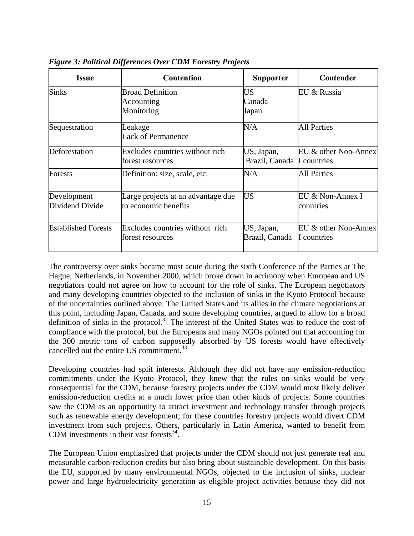| <b>Issue</b>                   | <b>Contention</b>                                          | <b>Supporter</b>                         | Contender                           |
|--------------------------------|------------------------------------------------------------|------------------------------------------|-------------------------------------|
| <b>Sinks</b>                   | <b>Broad Definition</b><br>Accounting<br>Monitoring        | US<br>Canada<br>Japan                    | EU & Russia                         |
| Sequestration                  | Leakage<br><b>Lack of Permanence</b>                       | N/A                                      | <b>All Parties</b>                  |
| Deforestation                  | Excludes countries without rich<br>forest resources        | US, Japan,<br>Brazil, Canada I countries | EU & other Non-Annex                |
| Forests                        | Definition: size, scale, etc.                              | N/A                                      | <b>All Parties</b>                  |
| Development<br>Dividend Divide | Large projects at an advantage due<br>to economic benefits | US                                       | EU & Non-Annex I<br>countries       |
| <b>Established Forests</b>     | Excludes countries without rich<br>forest resources        | US, Japan,<br>Brazil, Canada             | EU & other Non-Annex<br>I countries |

<span id="page-14-0"></span>*Figure 3: Political Differences Over CDM Forestry Projects* 

The controversy over sinks became most acute during the sixth Conference of the Parties at The Hague, Netherlands, in November 2000, which broke down in acrimony when European and US negotiators could not agree on how to account for the role of sinks. The European negotiators and many developing countries objected to the inclusion of sinks in the Kyoto Protocol because of the uncertainties outlined above. The United States and its allies in the climate negotiations at this point, including Japan, Canada, and some developing countries, argued to allow for a broad definition of sinks in the protocol.<sup>32</sup> The interest of the United States was to reduce the cost of compliance with the protocol, but the Europeans and many NGOs pointed out that accounting for the 300 metric tons of carbon supposedly absorbed by US forests would have effectively cancelled out the entire US commitment.<sup>[33](#page-57-32)</sup>

Developing countries had split interests. Although they did not have any emission-reduction commitments under the Kyoto Protocol, they knew that the rules on sinks would be very consequential for the CDM, because forestry projects under the CDM would most likely deliver emission-reduction credits at a much lower price than other kinds of projects. Some countries saw the CDM as an opportunity to attract investment and technology transfer through projects such as renewable energy development; for these countries forestry projects would divert CDM investment from such projects. Others, particularly in Latin America, wanted to benefit from CDM investments in their vast forests $^{34}$ .

The European Union emphasized that projects under the CDM should not just generate real and measurable carbon-reduction credits but also bring about sustainable development. On this basis the EU, supported by many environmental NGOs, objected to the inclusion of sinks, nuclear power and large hydroelectricity generation as eligible project activities because they did not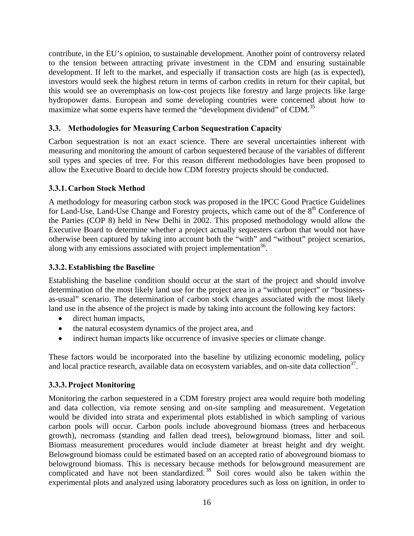<span id="page-15-0"></span>contribute, in the EU's opinion, to sustainable development. Another point of controversy related to the tension between attracting private investment in the CDM and ensuring sustainable development. If left to the market, and especially if transaction costs are high (as is expected), investors would seek the highest return in terms of carbon credits in return for their capital, but this would see an overemphasis on low-cost projects like forestry and large projects like large hydropower dams. European and some developing countries were concerned about how to maximize what some experts have termed the "development dividend" of CDM.<sup>[35](#page-57-34)</sup>

#### **3.3. Methodologies for Measuring Carbon Sequestration Capacity**

Carbon sequestration is not an exact science. There are several uncertainties inherent with measuring and monitoring the amount of carbon sequestered because of the variables of different soil types and species of tree. For this reason different methodologies have been proposed to allow the Executive Board to decide how CDM forestry projects should be conducted.

#### **3.3.1. Carbon Stock Method**

A methodology for measuring carbon stock was proposed in the IPCC Good Practice Guidelines for Land-Use, Land-Use Change and Forestry projects, which came out of the 8<sup>th</sup> Conference of the Parties (COP 8) held in New Delhi in 2002. This proposed methodology would allow the Executive Board to determine whether a project actually sequesters carbon that would not have otherwise been captured by taking into account both the "with" and "without" project scenarios, along with any emissions associated with project implementation  $36$ .

#### **3.3.2.Establishing the Baseline**

Establishing the baseline condition should occur at the start of the project and should involve determination of the most likely land use for the project area in a "without project" or "businessas-usual" scenario. The determination of carbon stock changes associated with the most likely land use in the absence of the project is made by taking into account the following key factors:

- direct human impacts,
- the natural ecosystem dynamics of the project area, and
- indirect human impacts like occurrence of invasive species or climate change.

These factors would be incorporated into the baseline by utilizing economic modeling, policy and local practice research, available data on ecosystem variables, and on-site data collection<sup>37</sup>.

#### **3.3.3.Project Monitoring**

Monitoring the carbon sequestered in a CDM forestry project area would require both modeling and data collection, via remote sensing and on-site sampling and measurement. Vegetation would be divided into strata and experimental plots established in which sampling of various carbon pools will occur. Carbon pools include aboveground biomass (trees and herbaceous growth), necromass (standing and fallen dead trees), belowground biomass, litter and soil. Biomass measurement procedures would include diameter at breast height and dry weight. Belowground biomass could be estimated based on an accepted ratio of aboveground biomass to belowground biomass. This is necessary because methods for belowground measurement are complicated and have not been standardized.<sup>38</sup> Soil cores would also be taken within the experimental plots and analyzed using laboratory procedures such as loss on ignition, in order to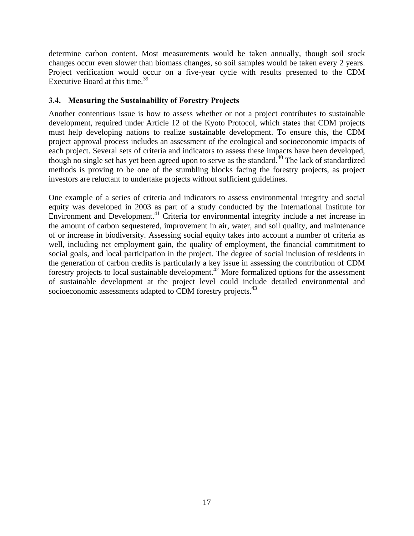<span id="page-16-0"></span>determine carbon content. Most measurements would be taken annually, though soil stock changes occur even slower than biomass changes, so soil samples would be taken every 2 years. Project verification would occur on a five-year cycle with results presented to the CDM Executive Board at this time.<sup>[39](#page-57-38)</sup>

#### **3.4. Measuring the Sustainability of Forestry Projects**

Another contentious issue is how to assess whether or not a project contributes to sustainable development, required under Article 12 of the Kyoto Protocol, which states that CDM projects must help developing nations to realize sustainable development. To ensure this, the CDM project approval process includes an assessment of the ecological and socioeconomic impacts of each project. Several sets of criteria and indicators to assess these impacts have been developed, though no single set has yet been agreed upon to serve as the standard.<sup>40</sup> The lack of standardized methods is proving to be one of the stumbling blocks facing the forestry projects, as project investors are reluctant to undertake projects without sufficient guidelines.

One example of a series of criteria and indicators to assess environmental integrity and social equity was developed in 2003 as part of a study conducted by the International Institute for Environment and Development.<sup>41</sup> Criteria for environmental integrity include a net increase in the amount of carbon sequestered, improvement in air, water, and soil quality, and maintenance of or increase in biodiversity. Assessing social equity takes into account a number of criteria as well, including net employment gain, the quality of employment, the financial commitment to social goals, and local participation in the project. The degree of social inclusion of residents in the generation of carbon credits is particularly a key issue in assessing the contribution of CDM forestry projects to local sustainable development.<sup>42</sup> More formalized options for the assessment of sustainable development at the project level could include detailed environmental and socioeconomic assessments adapted to CDM forestry projects.<sup>[43](#page-57-42)</sup>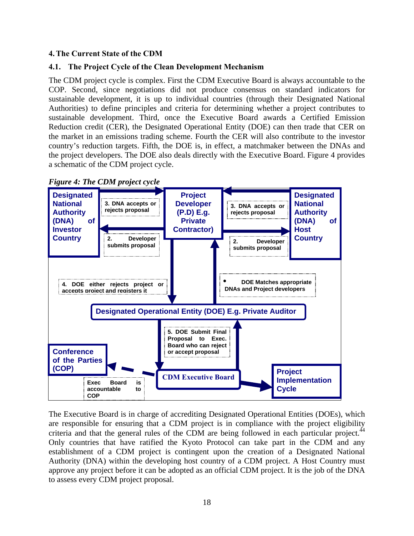#### <span id="page-17-0"></span>**4.The Current State of the CDM**

#### **4.1. The Project Cycle of the Clean Development Mechanism**

The CDM project cycle is complex. First the CDM Executive Board is always accountable to the COP. Second, since negotiations did not produce consensus on standard indicators for sustainable development, it is up to individual countries (through their Designated National Authorities) to define principles and criteria for determining whether a project contributes to sustainable development. Third, once the Executive Board awards a Certified Emission Reduction credit (CER), the Designated Operational Entity (DOE) can then trade that CER on the market in an emissions trading scheme. Fourth the CER will also contribute to the investor country's reduction targets. Fifth, the DOE is, in effect, a matchmaker between the DNAs and the project developers. The DOE also deals directly with the Executive Board. Figure 4 provides a schematic of the CDM project cycle.



The Executive Board is in charge of accrediting Designated Operational Entities (DOEs), which are responsible for ensuring that a CDM project is in compliance with the project eligibility criteria and that the general rules of the CDM are being followed in each particular project.<sup>44</sup> Only countries that have ratified the Kyoto Protocol can take part in the CDM and any establishment of a CDM project is contingent upon the creation of a Designated National Authority (DNA) within the developing host country of a CDM project. A Host Country must approve any project before it can be adopted as an official CDM project. It is the job of the DNA to assess every CDM project proposal.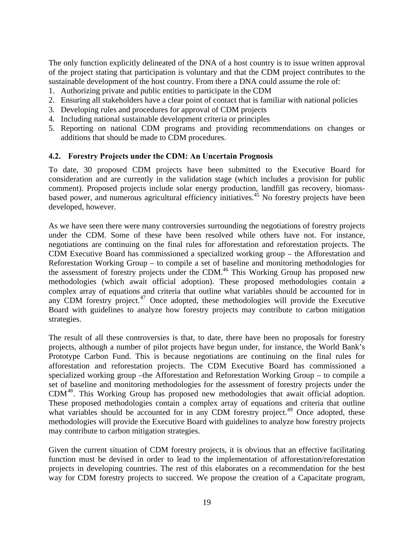<span id="page-18-0"></span>The only function explicitly delineated of the DNA of a host country is to issue written approval of the project stating that participation is voluntary and that the CDM project contributes to the sustainable development of the host country. From there a DNA could assume the role of:

- 1. Authorizing private and public entities to participate in the CDM
- 2. Ensuring all stakeholders have a clear point of contact that is familiar with national policies
- 3. Developing rules and procedures for approval of CDM projects
- 4. Including national sustainable development criteria or principles
- 5. Reporting on national CDM programs and providing recommendations on changes or additions that should be made to CDM procedures.

#### **4.2. Forestry Projects under the CDM: An Uncertain Prognosis**

To date, 30 proposed CDM projects have been submitted to the Executive Board for consideration and are currently in the validation stage (which includes a provision for public comment). Proposed projects include solar energy production, landfill gas recovery, biomassbased power, and numerous agricultural efficiency initiatives.<sup>45</sup> No forestry projects have been developed, however.

As we have seen there were many controversies surrounding the negotiations of forestry projects under the CDM. Some of these have been resolved while others have not. For instance, negotiations are continuing on the final rules for afforestation and reforestation projects. The CDM Executive Board has commissioned a specialized working group – the Afforestation and Reforestation Working Group – to compile a set of baseline and monitoring methodologies for the assessment of forestry projects under the CDM.<sup>46</sup> This Working Group has proposed new methodologies (which await official adoption). These proposed methodologies contain a complex array of equations and criteria that outline what variables should be accounted for in any CDM forestry project. $47$  Once adopted, these methodologies will provide the Executive Board with guidelines to analyze how forestry projects may contribute to carbon mitigation strategies.

The result of all these controversies is that, to date, there have been no proposals for forestry projects, although a number of pilot projects have begun under, for instance, the World Bank's Prototype Carbon Fund. This is because negotiations are continuing on the final rules for afforestation and reforestation projects. The CDM Executive Board has commissioned a specialized working group –the Afforestation and Reforestation Working Group – to compile a set of baseline and monitoring methodologies for the assessment of forestry projects under the CDM[48.](#page-57-47) This Working Group has proposed new methodologies that await official adoption. These proposed methodologies contain a complex array of equations and criteria that outline what variables should be accounted for in any CDM forestry project.<sup>49</sup> Once adopted, these methodologies will provide the Executive Board with guidelines to analyze how forestry projects may contribute to carbon mitigation strategies.

Given the current situation of CDM forestry projects, it is obvious that an effective facilitating function must be devised in order to lead to the implementation of afforestation/reforestation projects in developing countries. The rest of this elaborates on a recommendation for the best way for CDM forestry projects to succeed. We propose the creation of a Capacitate program,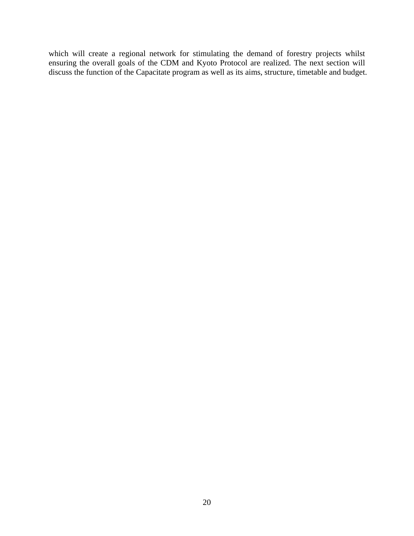which will create a regional network for stimulating the demand of forestry projects whilst ensuring the overall goals of the CDM and Kyoto Protocol are realized. The next section will discuss the function of the Capacitate program as well as its aims, structure, timetable and budget.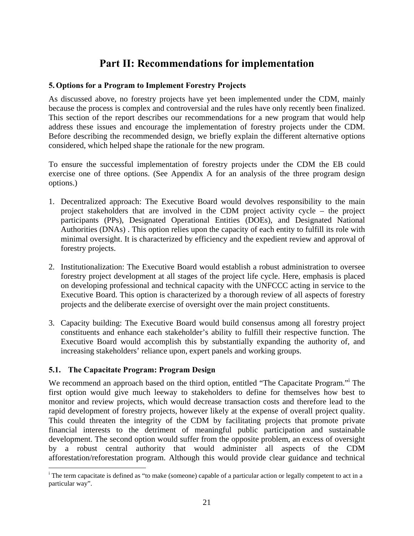## **Part II: Recommendations for implementation**

#### <span id="page-20-0"></span>**5.Options for a Program to Implement Forestry Projects**

As discussed above, no forestry projects have yet been implemented under the CDM, mainly because the process is complex and controversial and the rules have only recently been finalized. This section of the report describes our recommendations for a new program that would help address these issues and encourage the implementation of forestry projects under the CDM. Before describing the recommended design, we briefly explain the different alternative options considered, which helped shape the rationale for the new program.

To ensure the successful implementation of forestry projects under the CDM the EB could exercise one of three options. (See Appendix A for an analysis of the three program design options.)

- 1. Decentralized approach: The Executive Board would devolves responsibility to the main project stakeholders that are involved in the CDM project activity cycle – the project participants (PPs), Designated Operational Entities (DOEs), and Designated National Authorities (DNAs) . This option relies upon the capacity of each entity to fulfill its role with minimal oversight. It is characterized by efficiency and the expedient review and approval of forestry projects.
- 2. Institutionalization: The Executive Board would establish a robust administration to oversee forestry project development at all stages of the project life cycle. Here, emphasis is placed on developing professional and technical capacity with the UNFCCC acting in service to the Executive Board. This option is characterized by a thorough review of all aspects of forestry projects and the deliberate exercise of oversight over the main project constituents.
- 3. Capacity building: The Executive Board would build consensus among all forestry project constituents and enhance each stakeholder's ability to fulfill their respective function. The Executive Board would accomplish this by substantially expanding the authority of, and increasing stakeholders' reliance upon, expert panels and working groups.

#### **5.1. The Capacitate Program: Program Design**

Werecommend an approach based on the third option, entitled "The Capacitate Program." The first option would give much leeway to stakeholders to define for themselves how best to monitor and review projects, which would decrease transaction costs and therefore lead to the rapid development of forestry projects, however likely at the expense of overall project quality. This could threaten the integrity of the CDM by facilitating projects that promote private financial interests to the detriment of meaningful public participation and sustainable development. The second option would suffer from the opposite problem, an excess of oversight by a robust central authority that would administer all aspects of the CDM afforestation/reforestation program. Although this would provide clear guidance and technical

<span id="page-20-1"></span>i <sup>i</sup> The term capacitate is defined as "to make (someone) capable of a particular action or legally competent to act in a particular way".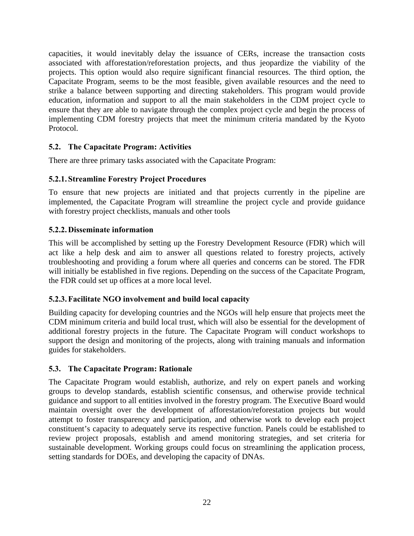<span id="page-21-0"></span>capacities, it would inevitably delay the issuance of CERs, increase the transaction costs associated with afforestation/reforestation projects, and thus jeopardize the viability of the projects. This option would also require significant financial resources. The third option, the Capacitate Program, seems to be the most feasible, given available resources and the need to strike a balance between supporting and directing stakeholders. This program would provide education, information and support to all the main stakeholders in the CDM project cycle to ensure that they are able to navigate through the complex project cycle and begin the process of implementing CDM forestry projects that meet the minimum criteria mandated by the Kyoto Protocol.

#### **5.2. The Capacitate Program: Activities**

There are three primary tasks associated with the Capacitate Program:

#### **5.2.1. Streamline Forestry Project Procedures**

To ensure that new projects are initiated and that projects currently in the pipeline are implemented, the Capacitate Program will streamline the project cycle and provide guidance with forestry project checklists, manuals and other tools

#### **5.2.2. Disseminate information**

This will be accomplished by setting up the Forestry Development Resource (FDR) which will act like a help desk and aim to answer all questions related to forestry projects, actively troubleshooting and providing a forum where all queries and concerns can be stored. The FDR will initially be established in five regions. Depending on the success of the Capacitate Program, the FDR could set up offices at a more local level.

#### **5.2.3.Facilitate NGO involvement and build local capacity**

Building capacity for developing countries and the NGOs will help ensure that projects meet the CDM minimum criteria and build local trust, which will also be essential for the development of additional forestry projects in the future. The Capacitate Program will conduct workshops to support the design and monitoring of the projects, along with training manuals and information guides for stakeholders.

#### **5.3. The Capacitate Program: Rationale**

The Capacitate Program would establish, authorize, and rely on expert panels and working groups to develop standards, establish scientific consensus, and otherwise provide technical guidance and support to all entities involved in the forestry program. The Executive Board would maintain oversight over the development of afforestation/reforestation projects but would attempt to foster transparency and participation, and otherwise work to develop each project constituent's capacity to adequately serve its respective function. Panels could be established to review project proposals, establish and amend monitoring strategies, and set criteria for sustainable development. Working groups could focus on streamlining the application process, setting standards for DOEs, and developing the capacity of DNAs.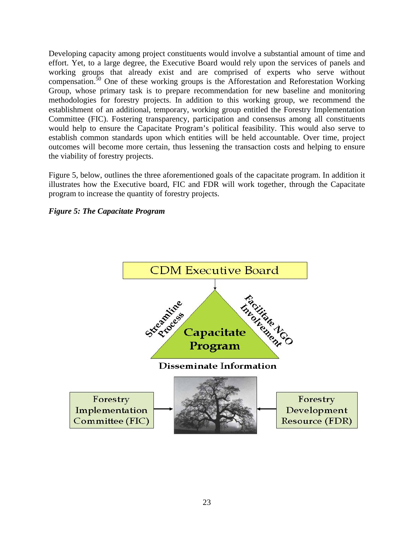<span id="page-22-0"></span>Developing capacity among project constituents would involve a substantial amount of time and effort. Yet, to a large degree, the Executive Board would rely upon the services of panels and working groups that already exist and are comprised of experts who serve without compensation.<sup>50</sup> One of these working groups is the Afforestation and Reforestation Working Group, whose primary task is to prepare recommendation for new baseline and monitoring methodologies for forestry projects. In addition to this working group, we recommend the establishment of an additional, temporary, working group entitled the Forestry Implementation Committee (FIC). Fostering transparency, participation and consensus among all constituents would help to ensure the Capacitate Program's political feasibility. This would also serve to establish common standards upon which entities will be held accountable. Over time, project outcomes will become more certain, thus lessening the transaction costs and helping to ensure the viability of forestry projects.

Figure 5, below, outlines the three aforementioned goals of the capacitate program. In addition it illustrates how the Executive board, FIC and FDR will work together, through the Capacitate program to increase the quantity of forestry projects.

*Figure 5: The Capacitate Program* 

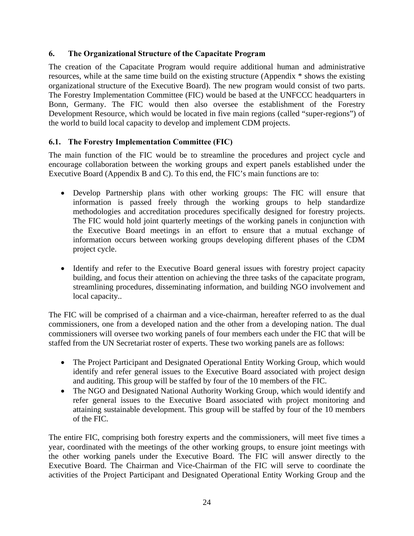#### <span id="page-23-0"></span>**6. The Organizational Structure of the Capacitate Program**

The creation of the Capacitate Program would require additional human and administrative resources, while at the same time build on the existing structure (Appendix \* shows the existing organizational structure of the Executive Board). The new program would consist of two parts. The Forestry Implementation Committee (FIC) would be based at the UNFCCC headquarters in Bonn, Germany. The FIC would then also oversee the establishment of the Forestry Development Resource, which would be located in five main regions (called "super-regions") of the world to build local capacity to develop and implement CDM projects.

#### **6.1. The Forestry Implementation Committee (FIC)**

The main function of the FIC would be to streamline the procedures and project cycle and encourage collaboration between the working groups and expert panels established under the Executive Board (Appendix B and C). To this end, the FIC's main functions are to:

- Develop Partnership plans with other working groups: The FIC will ensure that information is passed freely through the working groups to help standardize methodologies and accreditation procedures specifically designed for forestry projects. The FIC would hold joint quarterly meetings of the working panels in conjunction with the Executive Board meetings in an effort to ensure that a mutual exchange of information occurs between working groups developing different phases of the CDM project cycle.
- Identify and refer to the Executive Board general issues with forestry project capacity building, and focus their attention on achieving the three tasks of the capacitate program, streamlining procedures, disseminating information, and building NGO involvement and local capacity..

The FIC will be comprised of a chairman and a vice-chairman, hereafter referred to as the dual commissioners, one from a developed nation and the other from a developing nation. The dual commissioners will oversee two working panels of four members each under the FIC that will be staffed from the UN Secretariat roster of experts. These two working panels are as follows:

- The Project Participant and Designated Operational Entity Working Group, which would identify and refer general issues to the Executive Board associated with project design and auditing. This group will be staffed by four of the 10 members of the FIC.
- The NGO and Designated National Authority Working Group, which would identify and refer general issues to the Executive Board associated with project monitoring and attaining sustainable development. This group will be staffed by four of the 10 members of the FIC.

The entire FIC, comprising both forestry experts and the commissioners, will meet five times a year, coordinated with the meetings of the other working groups, to ensure joint meetings with the other working panels under the Executive Board. The FIC will answer directly to the Executive Board. The Chairman and Vice-Chairman of the FIC will serve to coordinate the activities of the Project Participant and Designated Operational Entity Working Group and the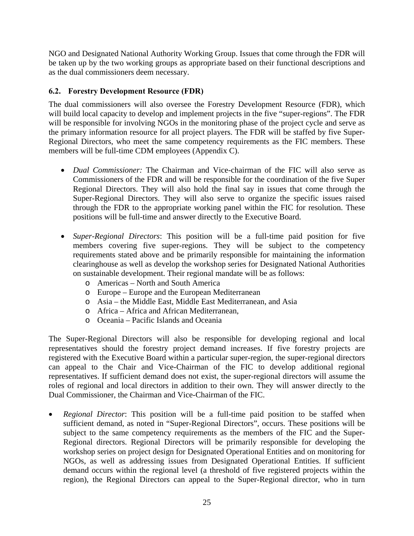<span id="page-24-0"></span>NGO and Designated National Authority Working Group. Issues that come through the FDR will be taken up by the two working groups as appropriate based on their functional descriptions and as the dual commissioners deem necessary.

#### **6.2. Forestry Development Resource (FDR)**

The dual commissioners will also oversee the Forestry Development Resource (FDR), which will build local capacity to develop and implement projects in the five "super-regions". The FDR will be responsible for involving NGOs in the monitoring phase of the project cycle and serve as the primary information resource for all project players. The FDR will be staffed by five Super-Regional Directors, who meet the same competency requirements as the FIC members. These members will be full-time CDM employees (Appendix C).

- *Dual Commissioner:* The Chairman and Vice-chairman of the FIC will also serve as Commissioners of the FDR and will be responsible for the coordination of the five Super Regional Directors. They will also hold the final say in issues that come through the Super-Regional Directors. They will also serve to organize the specific issues raised through the FDR to the appropriate working panel within the FIC for resolution. These positions will be full-time and answer directly to the Executive Board.
- *Super-Regional Directors*: This position will be a full-time paid position for five members covering five super-regions. They will be subject to the competency requirements stated above and be primarily responsible for maintaining the information clearinghouse as well as develop the workshop series for Designated National Authorities on sustainable development. Their regional mandate will be as follows:
	- o Americas North and South America
	- o Europe Europe and the European Mediterranean
	- o Asia the Middle East, Middle East Mediterranean, and Asia
	- o Africa Africa and African Mediterranean,
	- o Oceania Pacific Islands and Oceania

The Super-Regional Directors will also be responsible for developing regional and local representatives should the forestry project demand increases. If five forestry projects are registered with the Executive Board within a particular super-region, the super-regional directors can appeal to the Chair and Vice-Chairman of the FIC to develop additional regional representatives. If sufficient demand does not exist, the super-regional directors will assume the roles of regional and local directors in addition to their own. They will answer directly to the Dual Commissioner, the Chairman and Vice-Chairman of the FIC.

• *Regional Director*: This position will be a full-time paid position to be staffed when sufficient demand, as noted in "Super-Regional Directors", occurs. These positions will be subject to the same competency requirements as the members of the FIC and the Super-Regional directors. Regional Directors will be primarily responsible for developing the workshop series on project design for Designated Operational Entities and on monitoring for NGOs, as well as addressing issues from Designated Operational Entities. If sufficient demand occurs within the regional level (a threshold of five registered projects within the region), the Regional Directors can appeal to the Super-Regional director, who in turn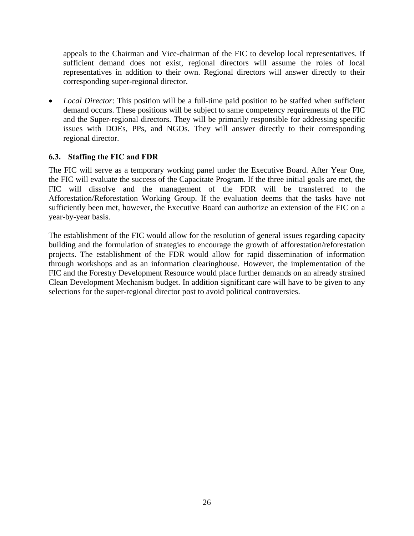<span id="page-25-0"></span>appeals to the Chairman and Vice-chairman of the FIC to develop local representatives. If sufficient demand does not exist, regional directors will assume the roles of local representatives in addition to their own. Regional directors will answer directly to their corresponding super-regional director.

• *Local Director*: This position will be a full-time paid position to be staffed when sufficient demand occurs. These positions will be subject to same competency requirements of the FIC and the Super-regional directors. They will be primarily responsible for addressing specific issues with DOEs, PPs, and NGOs. They will answer directly to their corresponding regional director.

#### **6.3. Staffing the FIC and FDR**

The FIC will serve as a temporary working panel under the Executive Board. After Year One, the FIC will evaluate the success of the Capacitate Program. If the three initial goals are met, the FIC will dissolve and the management of the FDR will be transferred to the Afforestation/Reforestation Working Group. If the evaluation deems that the tasks have not sufficiently been met, however, the Executive Board can authorize an extension of the FIC on a year-by-year basis.

The establishment of the FIC would allow for the resolution of general issues regarding capacity building and the formulation of strategies to encourage the growth of afforestation/reforestation projects. The establishment of the FDR would allow for rapid dissemination of information through workshops and as an information clearinghouse. However, the implementation of the FIC and the Forestry Development Resource would place further demands on an already strained Clean Development Mechanism budget. In addition significant care will have to be given to any selections for the super-regional director post to avoid political controversies.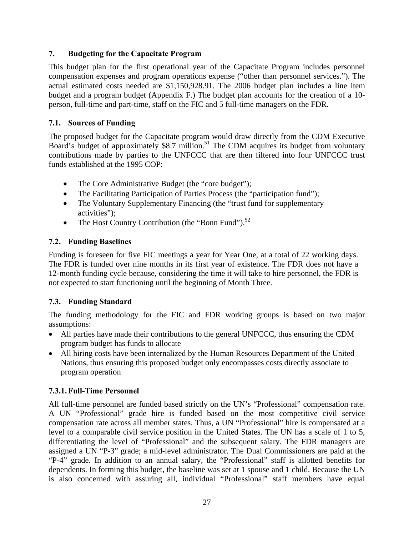#### <span id="page-26-0"></span>**7. Budgeting for the Capacitate Program**

This budget plan for the first operational year of the Capacitate Program includes personnel compensation expenses and program operations expense ("other than personnel services."). The actual estimated costs needed are \$1,150,928.91. The 2006 budget plan includes a line item budget and a program budget (Appendix F.) The budget plan accounts for the creation of a 10 person, full-time and part-time, staff on the FIC and 5 full-time managers on the FDR.

#### **7.1. Sources of Funding**

The proposed budget for the Capacitate program would draw directly from the CDM Executive Board's budget of approximately \$8.7 million.<sup>51</sup> The CDM acquires its budget from voluntary contributions made by parties to the UNFCCC that are then filtered into four UNFCCC trust funds established at the 1995 COP:

- The Core Administrative Budget (the "core budget");
- The Facilitating Participation of Parties Process (the "participation fund");
- The Voluntary Supplementary Financing (the "trust fund for supplementary activities");
- The Host Country Contribution (the "Bonn Fund").<sup>52</sup>

#### **7.2. Funding Baselines**

Funding is foreseen for five FIC meetings a year for Year One, at a total of 22 working days. The FDR is funded over nine months in its first year of existence. The FDR does not have a 12-month funding cycle because, considering the time it will take to hire personnel, the FDR is not expected to start functioning until the beginning of Month Three.

#### **7.3. Funding Standard**

The funding methodology for the FIC and FDR working groups is based on two major assumptions:

- All parties have made their contributions to the general UNFCCC, thus ensuring the CDM program budget has funds to allocate
- All hiring costs have been internalized by the Human Resources Department of the United Nations, thus ensuring this proposed budget only encompasses costs directly associate to program operation

#### **7.3.1.Full-Time Personnel**

All full-time personnel are funded based strictly on the UN's "Professional" compensation rate. A UN "Professional" grade hire is funded based on the most competitive civil service compensation rate across all member states. Thus, a UN "Professional" hire is compensated at a level to a comparable civil service position in the United States. The UN has a scale of 1 to 5, differentiating the level of "Professional" and the subsequent salary. The FDR managers are assigned a UN "P-3" grade; a mid-level administrator. The Dual Commissioners are paid at the "P-4" grade. In addition to an annual salary, the "Professional" staff is allotted benefits for dependents. In forming this budget, the baseline was set at 1 spouse and 1 child. Because the UN is also concerned with assuring all, individual "Professional" staff members have equal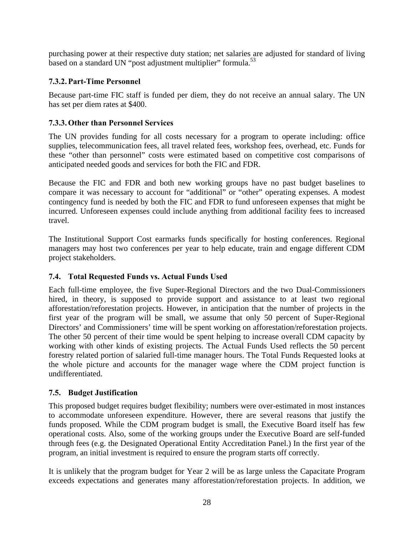<span id="page-27-0"></span>purchasing power at their respective duty station; net salaries are adjusted for standard of living based on a standard UN "post adjustment multiplier" formula.<sup>[53](#page-57-52)</sup>

#### **7.3.2.Part-Time Personnel**

Because part-time FIC staff is funded per diem, they do not receive an annual salary. The UN has set per diem rates at \$400.

#### **7.3.3.Other than Personnel Services**

The UN provides funding for all costs necessary for a program to operate including: office supplies, telecommunication fees, all travel related fees, workshop fees, overhead, etc. Funds for these "other than personnel" costs were estimated based on competitive cost comparisons of anticipated needed goods and services for both the FIC and FDR.

Because the FIC and FDR and both new working groups have no past budget baselines to compare it was necessary to account for "additional" or "other" operating expenses. A modest contingency fund is needed by both the FIC and FDR to fund unforeseen expenses that might be incurred. Unforeseen expenses could include anything from additional facility fees to increased travel.

The Institutional Support Cost earmarks funds specifically for hosting conferences. Regional managers may host two conferences per year to help educate, train and engage different CDM project stakeholders.

#### **7.4. Total Requested Funds vs. Actual Funds Used**

Each full-time employee, the five Super-Regional Directors and the two Dual-Commissioners hired, in theory, is supposed to provide support and assistance to at least two regional afforestation/reforestation projects. However, in anticipation that the number of projects in the first year of the program will be small, we assume that only 50 percent of Super-Regional Directors' and Commissioners' time will be spent working on afforestation/reforestation projects. The other 50 percent of their time would be spent helping to increase overall CDM capacity by working with other kinds of existing projects. The Actual Funds Used reflects the 50 percent forestry related portion of salaried full-time manager hours. The Total Funds Requested looks at the whole picture and accounts for the manager wage where the CDM project function is undifferentiated.

#### **7.5. Budget Justification**

This proposed budget requires budget flexibility; numbers were over-estimated in most instances to accommodate unforeseen expenditure. However, there are several reasons that justify the funds proposed. While the CDM program budget is small, the Executive Board itself has few operational costs. Also, some of the working groups under the Executive Board are self-funded through fees (e.g. the Designated Operational Entity Accreditation Panel.) In the first year of the program, an initial investment is required to ensure the program starts off correctly.

It is unlikely that the program budget for Year 2 will be as large unless the Capacitate Program exceeds expectations and generates many afforestation/reforestation projects. In addition, we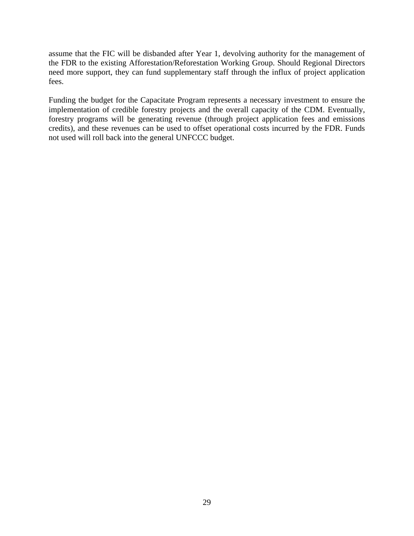assume that the FIC will be disbanded after Year 1, devolving authority for the management of the FDR to the existing Afforestation/Reforestation Working Group. Should Regional Directors need more support, they can fund supplementary staff through the influx of project application fees.

Funding the budget for the Capacitate Program represents a necessary investment to ensure the implementation of credible forestry projects and the overall capacity of the CDM. Eventually, forestry programs will be generating revenue (through project application fees and emissions credits), and these revenues can be used to offset operational costs incurred by the FDR. Funds not used will roll back into the general UNFCCC budget.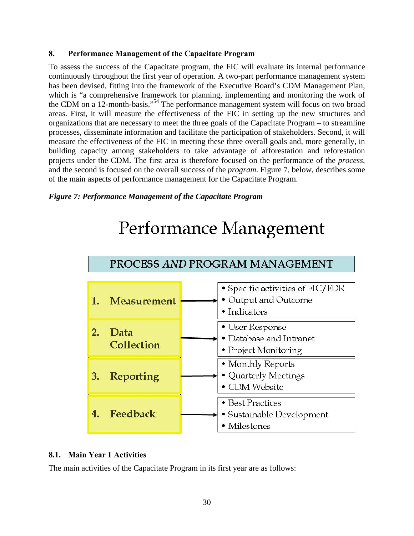#### <span id="page-29-0"></span>**8. Performance Management of the Capacitate Program**

To assess the success of the Capacitate program, the FIC will evaluate its internal performance continuously throughout the first year of operation. A two-part performance management system has been devised, fitting into the framework of the Executive Board's CDM Management Plan, which is "a comprehensive framework for planning, implementing and monitoring the work of the CDM on a 12-month-basis." [54](#page-57-53) The performance management system will focus on two broad areas. First, it will measure the effectiveness of the FIC in setting up the new structures and organizations that are necessary to meet the three goals of the Capacitate Program – to streamline processes, disseminate information and facilitate the participation of stakeholders. Second, it will measure the effectiveness of the FIC in meeting these three overall goals and, more generally, in building capacity among stakeholders to take advantage of afforestation and reforestation projects under the CDM. The first area is therefore focused on the performance of the *process*, and the second is focused on the overall success of the *program*. Figure 7, below, describes some of the main aspects of performance management for the Capacitate Program.

#### *Figure 7: Performance Management of the Capacitate Program*

# Performance Management



#### **8.1. Main Year 1 Activities**

The main activities of the Capacitate Program in its first year are as follows: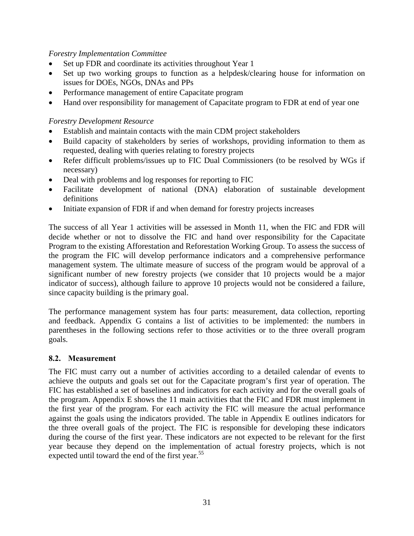#### <span id="page-30-0"></span>*Forestry Implementation Committee*

- Set up FDR and coordinate its activities throughout Year 1
- Set up two working groups to function as a helpdesk/clearing house for information on issues for DOEs, NGOs, DNAs and PPs
- Performance management of entire Capacitate program
- Hand over responsibility for management of Capacitate program to FDR at end of year one

#### *Forestry Development Resource*

- Establish and maintain contacts with the main CDM project stakeholders
- Build capacity of stakeholders by series of workshops, providing information to them as requested, dealing with queries relating to forestry projects
- Refer difficult problems/issues up to FIC Dual Commissioners (to be resolved by WGs if necessary)
- Deal with problems and log responses for reporting to FIC
- Facilitate development of national (DNA) elaboration of sustainable development definitions
- Initiate expansion of FDR if and when demand for forestry projects increases

The success of all Year 1 activities will be assessed in Month 11, when the FIC and FDR will decide whether or not to dissolve the FIC and hand over responsibility for the Capacitate Program to the existing Afforestation and Reforestation Working Group. To assess the success of the program the FIC will develop performance indicators and a comprehensive performance management system. The ultimate measure of success of the program would be approval of a significant number of new forestry projects (we consider that 10 projects would be a major indicator of success), although failure to approve 10 projects would not be considered a failure, since capacity building is the primary goal.

The performance management system has four parts: measurement, data collection, reporting and feedback. Appendix G contains a list of activities to be implemented: the numbers in parentheses in the following sections refer to those activities or to the three overall program goals.

#### **8.2. Measurement**

The FIC must carry out a number of activities according to a detailed calendar of events to achieve the outputs and goals set out for the Capacitate program's first year of operation. The FIC has established a set of baselines and indicators for each activity and for the overall goals of the program. Appendix E shows the 11 main activities that the FIC and FDR must implement in the first year of the program. For each activity the FIC will measure the actual performance against the goals using the indicators provided. The table in Appendix E outlines indicators for the three overall goals of the project. The FIC is responsible for developing these indicators during the course of the first year. These indicators are not expected to be relevant for the first year because they depend on the implementation of actual forestry projects, which is not expected until toward the end of the first year.<sup>[55](#page-57-54)</sup>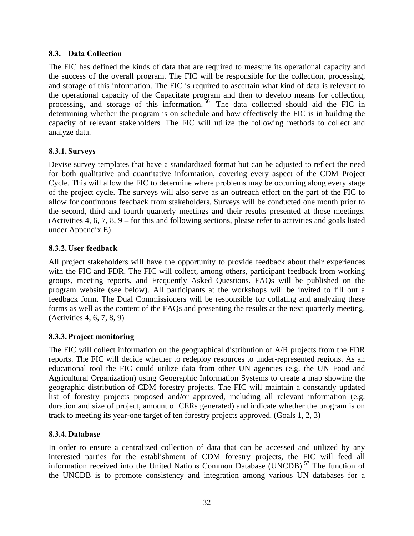#### <span id="page-31-0"></span>**8.3. Data Collection**

The FIC has defined the kinds of data that are required to measure its operational capacity and the success of the overall program. The FIC will be responsible for the collection, processing, and storage of this information. The FIC is required to ascertain what kind of data is relevant to the operational capacity of the Capacitate program and then to develop means for collection, processing, and storage of this information.<sup>56</sup> The data collected should aid the FIC in determining whether the program is on schedule and how effectively the FIC is in building the capacity of relevant stakeholders. The FIC will utilize the following methods to collect and analyze data.

#### **8.3.1. Surveys**

Devise survey templates that have a standardized format but can be adjusted to reflect the need for both qualitative and quantitative information, covering every aspect of the CDM Project Cycle. This will allow the FIC to determine where problems may be occurring along every stage of the project cycle. The surveys will also serve as an outreach effort on the part of the FIC to allow for continuous feedback from stakeholders. Surveys will be conducted one month prior to the second, third and fourth quarterly meetings and their results presented at those meetings. (Activities 4, 6, 7, 8, 9 – for this and following sections, please refer to activities and goals listed under Appendix E)

#### **8.3.2. User feedback**

All project stakeholders will have the opportunity to provide feedback about their experiences with the FIC and FDR. The FIC will collect, among others, participant feedback from working groups, meeting reports, and Frequently Asked Questions. FAQs will be published on the program website (see below). All participants at the workshops will be invited to fill out a feedback form. The Dual Commissioners will be responsible for collating and analyzing these forms as well as the content of the FAQs and presenting the results at the next quarterly meeting. (Activities 4, 6, 7, 8, 9)

#### **8.3.3.Project monitoring**

The FIC will collect information on the geographical distribution of A/R projects from the FDR reports. The FIC will decide whether to redeploy resources to under-represented regions. As an educational tool the FIC could utilize data from other UN agencies (e.g. the UN Food and Agricultural Organization) using Geographic Information Systems to create a map showing the geographic distribution of CDM forestry projects. The FIC will maintain a constantly updated list of forestry projects proposed and/or approved, including all relevant information (e.g. duration and size of project, amount of CERs generated) and indicate whether the program is on track to meeting its year-one target of ten forestry projects approved. (Goals 1, 2, 3)

#### **8.3.4. Database**

In order to ensure a centralized collection of data that can be accessed and utilized by any interested parties for the establishment of CDM forestry projects, the FIC will feed all information received into the United Nations Common Database (UNCDB).<sup>57</sup> The function of the UNCDB is to promote consistency and integration among various UN databases for a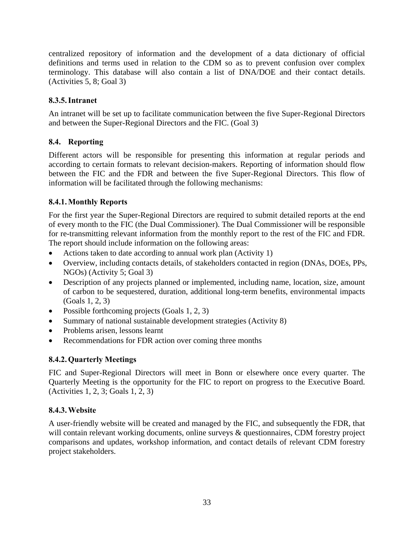<span id="page-32-0"></span>centralized repository of information and the development of a data dictionary of official definitions and terms used in relation to the CDM so as to prevent confusion over complex terminology. This database will also contain a list of DNA/DOE and their contact details. (Activities 5, 8; Goal 3)

#### **8.3.5.Intranet**

An intranet will be set up to facilitate communication between the five Super-Regional Directors and between the Super-Regional Directors and the FIC. (Goal 3)

#### **8.4. Reporting**

Different actors will be responsible for presenting this information at regular periods and according to certain formats to relevant decision-makers. Reporting of information should flow between the FIC and the FDR and between the five Super-Regional Directors. This flow of information will be facilitated through the following mechanisms:

#### **8.4.1.Monthly Reports**

For the first year the Super-Regional Directors are required to submit detailed reports at the end of every month to the FIC (the Dual Commissioner). The Dual Commissioner will be responsible for re-transmitting relevant information from the monthly report to the rest of the FIC and FDR. The report should include information on the following areas:

- Actions taken to date according to annual work plan (Activity 1)
- Overview, including contacts details, of stakeholders contacted in region (DNAs, DOEs, PPs, NGOs) (Activity 5; Goal 3)
- Description of any projects planned or implemented, including name, location, size, amount of carbon to be sequestered, duration, additional long-term benefits, environmental impacts (Goals 1, 2, 3)
- Possible forthcoming projects (Goals 1, 2, 3)
- Summary of national sustainable development strategies (Activity 8)
- Problems arisen, lessons learnt
- Recommendations for FDR action over coming three months

#### **8.4.2.Quarterly Meetings**

FIC and Super-Regional Directors will meet in Bonn or elsewhere once every quarter. The Quarterly Meeting is the opportunity for the FIC to report on progress to the Executive Board. (Activities 1, 2, 3; Goals 1, 2, 3)

#### **8.4.3.Website**

A user-friendly website will be created and managed by the FIC, and subsequently the FDR, that will contain relevant working documents, online surveys & questionnaires, CDM forestry project comparisons and updates, workshop information, and contact details of relevant CDM forestry project stakeholders.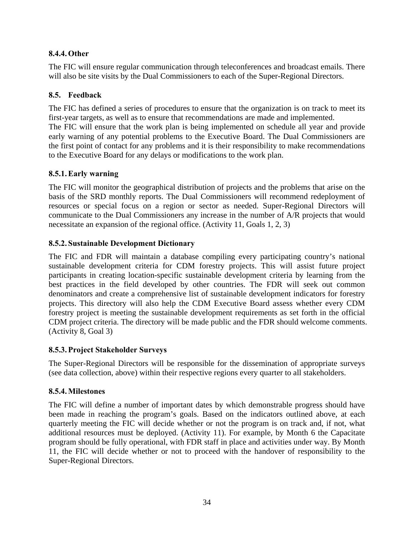#### <span id="page-33-0"></span>**8.4.4.Other**

The FIC will ensure regular communication through teleconferences and broadcast emails. There will also be site visits by the Dual Commissioners to each of the Super-Regional Directors.

#### **8.5. Feedback**

The FIC has defined a series of procedures to ensure that the organization is on track to meet its first-year targets, as well as to ensure that recommendations are made and implemented.

The FIC will ensure that the work plan is being implemented on schedule all year and provide early warning of any potential problems to the Executive Board. The Dual Commissioners are the first point of contact for any problems and it is their responsibility to make recommendations to the Executive Board for any delays or modifications to the work plan.

#### **8.5.1.Early warning**

The FIC will monitor the geographical distribution of projects and the problems that arise on the basis of the SRD monthly reports. The Dual Commissioners will recommend redeployment of resources or special focus on a region or sector as needed. Super-Regional Directors will communicate to the Dual Commissioners any increase in the number of A/R projects that would necessitate an expansion of the regional office. (Activity 11, Goals 1, 2, 3)

#### **8.5.2. Sustainable Development Dictionary**

The FIC and FDR will maintain a database compiling every participating country's national sustainable development criteria for CDM forestry projects. This will assist future project participants in creating location-specific sustainable development criteria by learning from the best practices in the field developed by other countries. The FDR will seek out common denominators and create a comprehensive list of sustainable development indicators for forestry projects. This directory will also help the CDM Executive Board assess whether every CDM forestry project is meeting the sustainable development requirements as set forth in the official CDM project criteria. The directory will be made public and the FDR should welcome comments. (Activity 8, Goal 3)

#### **8.5.3.Project Stakeholder Surveys**

The Super-Regional Directors will be responsible for the dissemination of appropriate surveys (see data collection, above) within their respective regions every quarter to all stakeholders.

#### **8.5.4.Milestones**

The FIC will define a number of important dates by which demonstrable progress should have been made in reaching the program's goals. Based on the indicators outlined above, at each quarterly meeting the FIC will decide whether or not the program is on track and, if not, what additional resources must be deployed. (Activity 11). For example, by Month 6 the Capacitate program should be fully operational, with FDR staff in place and activities under way. By Month 11, the FIC will decide whether or not to proceed with the handover of responsibility to the Super-Regional Directors.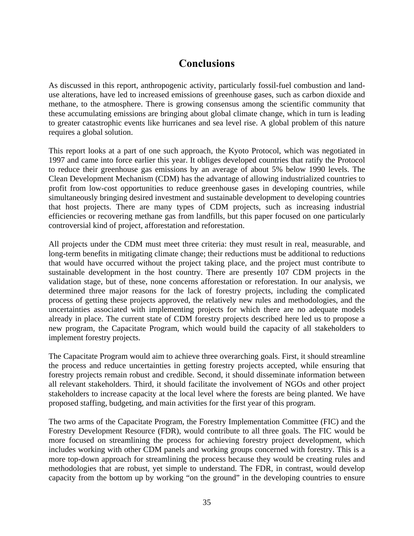### **Conclusions**

<span id="page-34-0"></span>As discussed in this report, anthropogenic activity, particularly fossil-fuel combustion and landuse alterations, have led to increased emissions of greenhouse gases, such as carbon dioxide and methane, to the atmosphere. There is growing consensus among the scientific community that these accumulating emissions are bringing about global climate change, which in turn is leading to greater catastrophic events like hurricanes and sea level rise. A global problem of this nature requires a global solution.

This report looks at a part of one such approach, the Kyoto Protocol, which was negotiated in 1997 and came into force earlier this year. It obliges developed countries that ratify the Protocol to reduce their greenhouse gas emissions by an average of about 5% below 1990 levels. The Clean Development Mechanism (CDM) has the advantage of allowing industrialized countries to profit from low-cost opportunities to reduce greenhouse gases in developing countries, while simultaneously bringing desired investment and sustainable development to developing countries that host projects. There are many types of CDM projects, such as increasing industrial efficiencies or recovering methane gas from landfills, but this paper focused on one particularly controversial kind of project, afforestation and reforestation.

All projects under the CDM must meet three criteria: they must result in real, measurable, and long-term benefits in mitigating climate change; their reductions must be additional to reductions that would have occurred without the project taking place, and the project must contribute to sustainable development in the host country. There are presently 107 CDM projects in the validation stage, but of these, none concerns afforestation or reforestation. In our analysis, we determined three major reasons for the lack of forestry projects, including the complicated process of getting these projects approved, the relatively new rules and methodologies, and the uncertainties associated with implementing projects for which there are no adequate models already in place. The current state of CDM forestry projects described here led us to propose a new program, the Capacitate Program, which would build the capacity of all stakeholders to implement forestry projects.

The Capacitate Program would aim to achieve three overarching goals. First, it should streamline the process and reduce uncertainties in getting forestry projects accepted, while ensuring that forestry projects remain robust and credible. Second, it should disseminate information between all relevant stakeholders. Third, it should facilitate the involvement of NGOs and other project stakeholders to increase capacity at the local level where the forests are being planted. We have proposed staffing, budgeting, and main activities for the first year of this program.

The two arms of the Capacitate Program, the Forestry Implementation Committee (FIC) and the Forestry Development Resource (FDR), would contribute to all three goals. The FIC would be more focused on streamlining the process for achieving forestry project development, which includes working with other CDM panels and working groups concerned with forestry. This is a more top-down approach for streamlining the process because they would be creating rules and methodologies that are robust, yet simple to understand. The FDR, in contrast, would develop capacity from the bottom up by working "on the ground" in the developing countries to ensure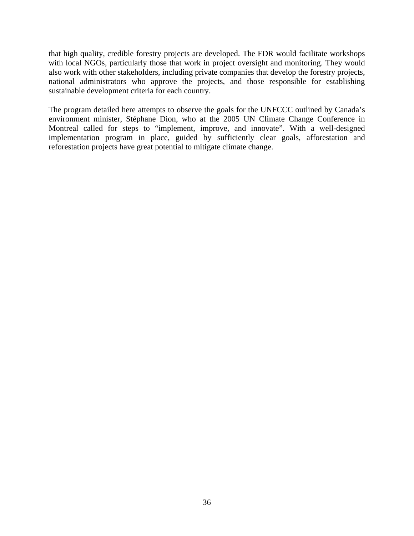that high quality, credible forestry projects are developed. The FDR would facilitate workshops with local NGOs, particularly those that work in project oversight and monitoring. They would also work with other stakeholders, including private companies that develop the forestry projects, national administrators who approve the projects, and those responsible for establishing sustainable development criteria for each country.

The program detailed here attempts to observe the goals for the UNFCCC outlined by Canada's environment minister, Stéphane Dion, who at the 2005 UN Climate Change Conference in Montreal called for steps to "implement, improve, and innovate". With a well-designed implementation program in place, guided by sufficiently clear goals, afforestation and reforestation projects have great potential to mitigate climate change.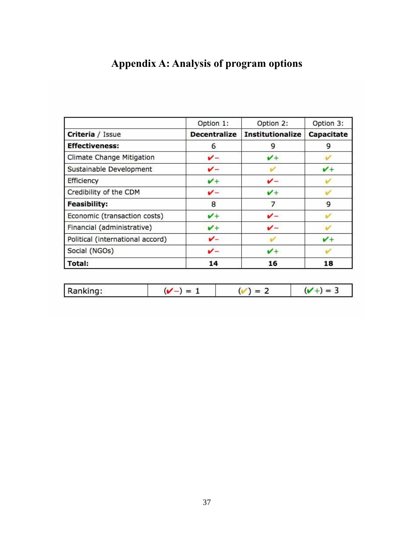## <span id="page-36-0"></span>**Appendix A: Analysis of program options**

|                                  | Option 1:           | Option 2:               | Option 3:  |
|----------------------------------|---------------------|-------------------------|------------|
| Criteria / Issue                 | <b>Decentralize</b> | <b>Institutionalize</b> | Capacitate |
| <b>Effectiveness:</b>            | 6                   | 9                       | 9          |
| Climate Change Mitigation        | v-                  | $\mathcal{V}+$          |            |
| Sustainable Development          | v-                  |                         | $v +$      |
| Efficiency                       | $\checkmark$        |                         |            |
| Credibility of the CDM           | v-                  | v+                      |            |
| <b>Feasibility:</b>              | 8                   | 7                       | 9          |
| Economic (transaction costs)     | $V +$               | v-                      |            |
| Financial (administrative)       | $\checkmark$        |                         |            |
| Political (international accord) | v-                  |                         | $v +$      |
| Social (NGOs)                    | v-                  | $\checkmark$            |            |
| <b>Total:</b>                    | 14                  | 16                      | 18         |

|  | Ranking: |  |  |  |
|--|----------|--|--|--|
|--|----------|--|--|--|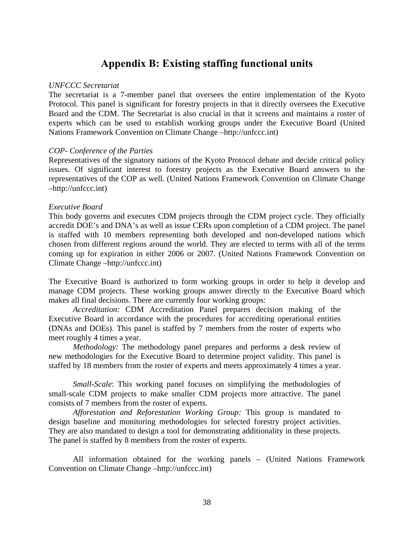### **Appendix B: Existing staffing functional units**

#### <span id="page-37-0"></span>*UNFCCC Secretariat*

The secretariat is a 7-member panel that oversees the entire implementation of the Kyoto Protocol. This panel is significant for forestry projects in that it directly oversees the Executive Board and the CDM. The Secretariat is also crucial in that it screens and maintains a roster of experts which can be used to establish working groups under the Executive Board (United Nations Framework Convention on Climate Change –http://unfccc.int)

#### *COP- Conference of the Parties*

Representatives of the signatory nations of the Kyoto Protocol debate and decide critical policy issues. Of significant interest to forestry projects as the Executive Board answers to the representatives of the COP as well. (United Nations Framework Convention on Climate Change –http://unfccc.int)

#### *Executive Board*

This body governs and executes CDM projects through the CDM project cycle. They officially accredit DOE's and DNA's as well as issue CERs upon completion of a CDM project. The panel is staffed with 10 members representing both developed and non-developed nations which chosen from different regions around the world. They are elected to terms with all of the terms coming up for expiration in either 2006 or 2007. (United Nations Framework Convention on Climate Change –http://unfccc.int)

The Executive Board is authorized to form working groups in order to help it develop and manage CDM projects. These working groups answer directly to the Executive Board which makes all final decisions. There are currently four working groups:

*Accreditation:* CDM Accreditation Panel prepares decision making of the Executive Board in accordance with the procedures for accrediting operational entities (DNAs and DOEs). This panel is staffed by 7 members from the roster of experts who meet roughly 4 times a year.

*Methodology:* The methodology panel prepares and performs a desk review of new methodologies for the Executive Board to determine project validity. This panel is staffed by 18 members from the roster of experts and meets approximately 4 times a year.

*Small-Scale*: This working panel focuses on simplifying the methodologies of small-scale CDM projects to make smaller CDM projects more attractive. The panel consists of 7 members from the roster of experts.

*Afforestation and Reforestation Working Group:* This group is mandated to design baseline and monitoring methodologies for selected forestry project activities. They are also mandated to design a tool for demonstrating additionality in these projects. The panel is staffed by 8 members from the roster of experts.

All information obtained for the working panels – (United Nations Framework Convention on Climate Change –http://unfccc.int)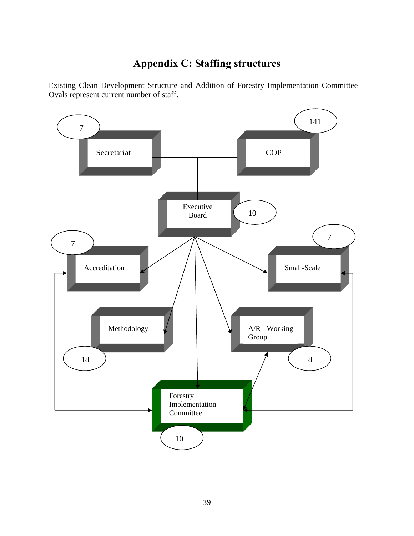## **Appendix C: Staffing structures**

<span id="page-38-0"></span>Existing Clean Development Structure and Addition of Forestry Implementation Committee – Ovals represent current number of staff.

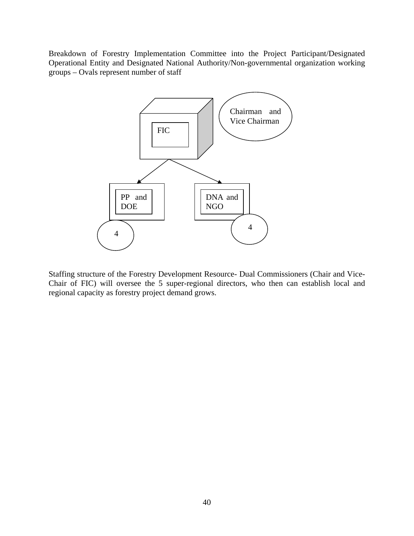Breakdown of Forestry Implementation Committee into the Project Participant/Designated Operational Entity and Designated National Authority/Non-governmental organization working groups – Ovals represent number of staff



Staffing structure of the Forestry Development Resource- Dual Commissioners (Chair and Vice-Chair of FIC) will oversee the 5 super-regional directors, who then can establish local and regional capacity as forestry project demand grows.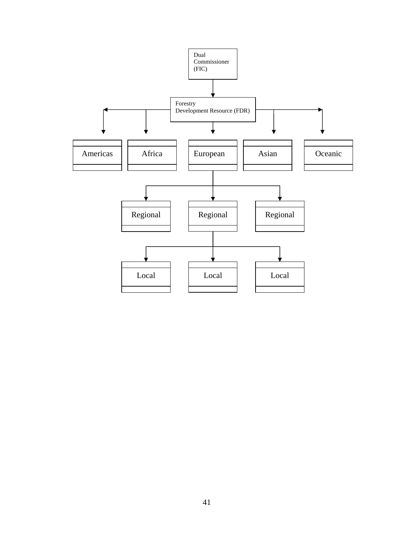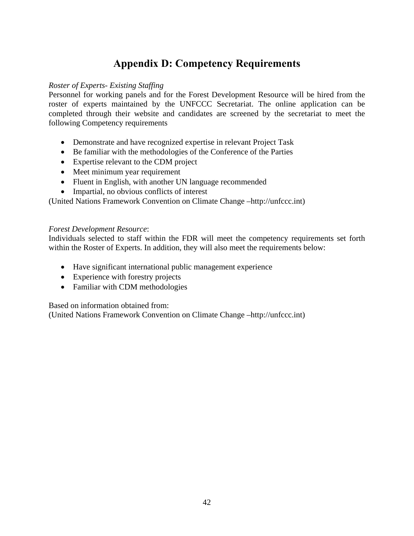## **Appendix D: Competency Requirements**

#### <span id="page-41-0"></span>*Roster of Experts- Existing Staffing*

Personnel for working panels and for the Forest Development Resource will be hired from the roster of experts maintained by the UNFCCC Secretariat. The online application can be completed through their website and candidates are screened by the secretariat to meet the following Competency requirements

- Demonstrate and have recognized expertise in relevant Project Task
- Be familiar with the methodologies of the Conference of the Parties
- Expertise relevant to the CDM project
- Meet minimum year requirement
- Fluent in English, with another UN language recommended
- Impartial, no obvious conflicts of interest

(United Nations Framework Convention on Climate Change –http://unfccc.int)

#### *Forest Development Resource*:

Individuals selected to staff within the FDR will meet the competency requirements set forth within the Roster of Experts. In addition, they will also meet the requirements below:

- Have significant international public management experience
- Experience with forestry projects
- Familiar with CDM methodologies

Based on information obtained from:

(United Nations Framework Convention on Climate Change –http://unfccc.int)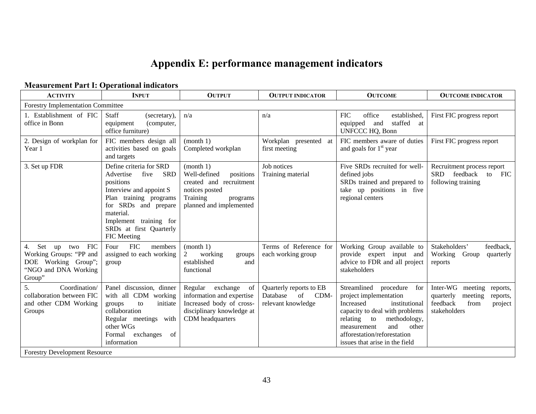## **Appendix E: performance management indicators**

#### **Measurement Part I: Operational indicators**

<span id="page-42-0"></span>

| <b>ACTIVITY</b>                                                                                                             | nivasur ement 1 urt 1. Operational muleators<br><b>INPUT</b>                                                                                                                                                                          | <b>OUTPUT</b>                                                                                                                          | <b>OUTPUT INDICATOR</b>                                                 | <b>OUTCOME</b>                                                                                                                                                                                                                                     | <b>OUTCOME INDICATOR</b>                                                                                        |
|-----------------------------------------------------------------------------------------------------------------------------|---------------------------------------------------------------------------------------------------------------------------------------------------------------------------------------------------------------------------------------|----------------------------------------------------------------------------------------------------------------------------------------|-------------------------------------------------------------------------|----------------------------------------------------------------------------------------------------------------------------------------------------------------------------------------------------------------------------------------------------|-----------------------------------------------------------------------------------------------------------------|
| <b>Forestry Implementation Committee</b>                                                                                    |                                                                                                                                                                                                                                       |                                                                                                                                        |                                                                         |                                                                                                                                                                                                                                                    |                                                                                                                 |
| 1. Establishment of FIC<br>office in Bonn                                                                                   | <b>Staff</b><br>(secretary),<br>(computer,<br>equipment<br>office furniture)                                                                                                                                                          | n/a                                                                                                                                    | n/a                                                                     | <b>FIC</b><br>office<br>established,<br>staffed at<br>equipped and<br>UNFCCC HQ, Bonn                                                                                                                                                              | First FIC progress report                                                                                       |
| 2. Design of workplan for<br>Year 1                                                                                         | FIC members design all<br>activities based on goals<br>and targets                                                                                                                                                                    | (month 1)<br>Completed workplan                                                                                                        | Workplan presented at<br>first meeting                                  | FIC members aware of duties<br>and goals for $1st$ year                                                                                                                                                                                            | First FIC progress report                                                                                       |
| 3. Set up FDR                                                                                                               | Define criteria for SRD<br><b>SRD</b><br>Advertise<br>five<br>positions<br>Interview and appoint S<br>Plan training programs<br>for SRDs and prepare<br>material.<br>Implement training for<br>SRDs at first Quarterly<br>FIC Meeting | (month 1)<br>Well-defined<br>positions<br>created and recruitment<br>notices posted<br>Training<br>programs<br>planned and implemented | Job notices<br>Training material                                        | Five SRDs recruited for well-<br>defined jobs<br>SRDs trained and prepared to<br>take up positions in five<br>regional centers                                                                                                                     | Recruitment process report<br>SRD feedback<br>to<br><b>FIC</b><br>following training                            |
| Set up two FIC<br>4.<br>Working Groups: "PP and<br>DOE Working Group";<br>"NGO and DNA Working<br>Group"                    | <b>FIC</b><br>Four<br>members<br>assigned to each working<br>group                                                                                                                                                                    | (month 1)<br>working<br>2<br>groups<br>established<br>and<br>functional                                                                | Terms of Reference for<br>each working group                            | Working Group available to<br>provide expert input and<br>advice to FDR and all project<br>stakeholders                                                                                                                                            | Stakeholders'<br>feedback,<br>Working<br>Group<br>quarterly<br>reports                                          |
| 5.<br>Coordination/<br>collaboration between FIC<br>and other CDM Working<br>Groups<br><b>Forestry Development Resource</b> | Panel discussion, dinner<br>with all CDM working<br>initiate<br>to<br>groups<br>collaboration<br>Regular meetings with<br>other WGs<br>exchanges<br>Formal<br>of<br>information                                                       | Regular exchange<br>of<br>information and expertise<br>Increased body of cross-<br>disciplinary knowledge at<br>CDM headquarters       | Quarterly reports to EB<br>Database<br>of<br>CDM-<br>relevant knowledge | Streamlined procedure for<br>project implementation<br>Increased<br>institutional<br>capacity to deal with problems<br>methodology,<br>relating to<br>and<br>other<br>measurement<br>afforestation/reforestation<br>issues that arise in the field | Inter-WG meeting<br>reports,<br>quarterly<br>meeting<br>reports,<br>feedback<br>from<br>project<br>stakeholders |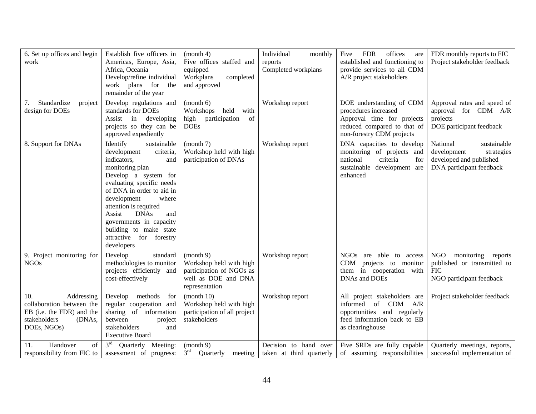| 6. Set up offices and begin<br>work                                                                                  | Establish five officers in<br>Americas, Europe, Asia,<br>Africa, Oceania<br>Develop/refine individual<br>work plans for the<br>remainder of the year                                                                                                                                                                                                          | (month 4)<br>Five offices staffed and<br>equipped<br>Workplans<br>completed<br>and approved               | Individual<br>monthly<br>reports<br>Completed workplans | <b>FDR</b><br>offices<br>Five<br>are<br>established and functioning to<br>provide services to all CDM<br>A/R project stakeholders          | FDR monthly reports to FIC<br>Project stakeholder feedback                                                  |
|----------------------------------------------------------------------------------------------------------------------|---------------------------------------------------------------------------------------------------------------------------------------------------------------------------------------------------------------------------------------------------------------------------------------------------------------------------------------------------------------|-----------------------------------------------------------------------------------------------------------|---------------------------------------------------------|--------------------------------------------------------------------------------------------------------------------------------------------|-------------------------------------------------------------------------------------------------------------|
| Standardize<br>project<br>design for DOEs                                                                            | Develop regulations and<br>standards for DOEs<br>Assist in<br>developing<br>projects so they can be<br>approved expediently                                                                                                                                                                                                                                   | (month 6)<br>Workshops<br>held<br>with<br>of<br>participation<br>high<br><b>DOEs</b>                      | Workshop report                                         | DOE understanding of CDM<br>procedures increased<br>Approval time for projects<br>reduced compared to that of<br>non-forestry CDM projects | Approval rates and speed of<br>approval for CDM A/R<br>projects<br>DOE participant feedback                 |
| 8. Support for DNAs                                                                                                  | Identify<br>sustainable<br>development<br>criteria,<br>indicators,<br>and<br>monitoring plan<br>Develop a system for<br>evaluating specific needs<br>of DNA in order to aid in<br>development<br>where<br>attention is required<br>Assist<br><b>DNAs</b><br>and<br>governments in capacity<br>building to make state<br>attractive for forestry<br>developers | (month 7)<br>Workshop held with high<br>participation of DNAs                                             | Workshop report                                         | DNA capacities to develop<br>monitoring of projects and<br>national<br>criteria<br>for<br>sustainable development are<br>enhanced          | National<br>sustainable<br>development<br>strategies<br>developed and published<br>DNA participant feedback |
| 9. Project monitoring for<br><b>NGOs</b>                                                                             | standard<br>Develop<br>methodologies to monitor<br>projects efficiently and<br>cost-effectively                                                                                                                                                                                                                                                               | (month 9)<br>Workshop held with high<br>participation of NGOs as<br>well as DOE and DNA<br>representation | Workshop report                                         | NGOs are able to access<br>CDM projects to monitor<br>them in cooperation with<br>DNAs and DOEs                                            | NGO<br>monitoring<br>reports<br>published or transmitted to<br><b>FIC</b><br>NGO participant feedback       |
| 10.<br>Addressing<br>collaboration between the<br>EB (i.e. the FDR) and the<br>stakeholders<br>(DNAs,<br>DOEs, NGOs) | Develop methods<br>for<br>regular cooperation and<br>sharing of information<br>between<br>project<br>stakeholders<br>and<br><b>Executive Board</b>                                                                                                                                                                                                            | (month 10)<br>Workshop held with high<br>participation of all project<br>stakeholders                     | Workshop report                                         | All project stakeholders are<br>informed<br>of CDM A/R<br>opportunities and regularly<br>feed information back to EB<br>as clearinghouse   | Project stakeholder feedback                                                                                |
| of<br>Handover<br>11.<br>responsibility from FIC to                                                                  | $3^{\rm rd}$<br>Quarterly Meeting:<br>assessment of progress:                                                                                                                                                                                                                                                                                                 | (month 9)<br>$3^{\rm rd}$<br>Quarterly<br>meeting                                                         | Decision to hand over<br>taken at third quarterly       | Five SRDs are fully capable<br>of assuming responsibilities                                                                                | Quarterly meetings, reports,<br>successful implementation of                                                |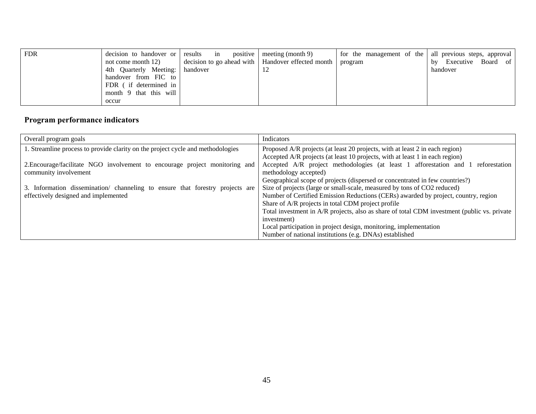| <b>FDR</b> | decision to handover or | results in | positive   meeting (month 9)                        | for the management of the   all previous steps, approval |                          |
|------------|-------------------------|------------|-----------------------------------------------------|----------------------------------------------------------|--------------------------|
|            | not come month 12)      |            | decision to go ahead with   Handover effected month | program                                                  | Executive Board of<br>by |
|            | 4th Quarterly Meeting:  | handover   |                                                     |                                                          | handover                 |
|            | handover from FIC to    |            |                                                     |                                                          |                          |
|            | FDR (if determined in   |            |                                                     |                                                          |                          |
|            | month 9 that this will  |            |                                                     |                                                          |                          |
|            | occur                   |            |                                                     |                                                          |                          |

### **Program performance indicators**

| Overall program goals                                                           | Indicators                                                                                  |
|---------------------------------------------------------------------------------|---------------------------------------------------------------------------------------------|
| 1. Streamline process to provide clarity on the project cycle and methodologies | Proposed A/R projects (at least 20 projects, with at least 2 in each region)                |
|                                                                                 | Accepted A/R projects (at least 10 projects, with at least 1 in each region)                |
| 2. Encourage/facilitate NGO involvement to encourage project monitoring and     | Accepted A/R project methodologies (at least 1 afforestation and 1 reforestation            |
| community involvement                                                           | methodology accepted)                                                                       |
|                                                                                 | Geographical scope of projects (dispersed or concentrated in few countries?)                |
| 3. Information dissemination/ channeling to ensure that forestry projects are   | Size of projects (large or small-scale, measured by tons of CO2 reduced)                    |
| effectively designed and implemented                                            | Number of Certified Emission Reductions (CERs) awarded by project, country, region          |
|                                                                                 | Share of A/R projects in total CDM project profile                                          |
|                                                                                 | Total investment in A/R projects, also as share of total CDM investment (public vs. private |
|                                                                                 | investment)                                                                                 |
|                                                                                 | Local participation in project design, monitoring, implementation                           |
|                                                                                 | Number of national institutions (e.g. DNAs) established                                     |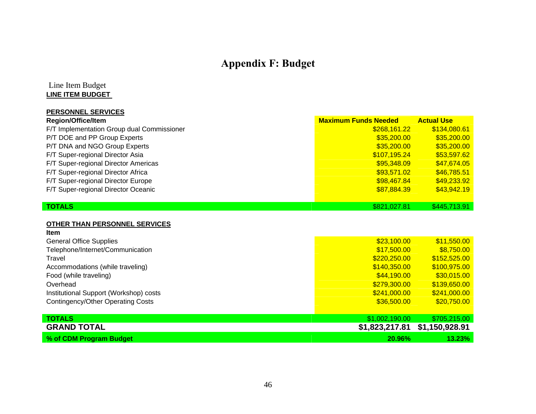## **Appendix F: Budget**

#### Line Item Budget **LINE ITEM BUDGET**

| <b>PERSONNEL SERVICES</b>                  |                             |                   |
|--------------------------------------------|-----------------------------|-------------------|
| <b>Region/Office/Item</b>                  | <b>Maximum Funds Needed</b> | <b>Actual Use</b> |
| F/T Implementation Group dual Commissioner | \$268,161.22                | \$134,080.61      |
| P/T DOE and PP Group Experts               | \$35,200.00                 | \$35,200.00       |
| P/T DNA and NGO Group Experts              | \$35,200.00                 | \$35,200.00       |
| F/T Super-regional Director Asia           | \$107,195.24                | \$53,597.62       |
| F/T Super-regional Director Americas       | \$95,348.09                 | \$47,674.05       |
| F/T Super-regional Director Africa         | \$93,571.02                 | \$46,785.51       |
| F/T Super-regional Director Europe         | \$98,467.84                 | \$49,233.92       |
| F/T Super-regional Director Oceanic        | \$87,884.39                 | \$43,942.19       |
| <b>TOTALS</b>                              | \$821,027.81                | \$445,713.91      |

#### **OTHER THAN PERSONNEL SERVICES**

<span id="page-45-0"></span>

| Item                                     |                |                |
|------------------------------------------|----------------|----------------|
| <b>General Office Supplies</b>           | \$23,100.00    | \$11,550.00    |
| Telephone/Internet/Communication         | \$17,500.00    | \$8,750.00     |
| Travel                                   | \$220,250.00   | \$152,525.00   |
| Accommodations (while traveling)         | \$140,350.00   | \$100,975.00   |
| Food (while traveling)                   | \$44,190.00    | \$30,015.00    |
| Overhead                                 | \$279,300.00   | \$139,650.00   |
| Institutional Support (Workshop) costs   | \$241,000.00   | \$241,000.00   |
| <b>Contingency/Other Operating Costs</b> | \$36,500.00    | \$20,750.00    |
|                                          |                |                |
| <b>TOTALS</b>                            | \$1,002,190.00 | \$705,215.00   |
| <b>GRAND TOTAL</b>                       | \$1,823,217.81 | \$1,150,928.91 |
| % of CDM Program Budget                  | 20.96%         | 13.23%         |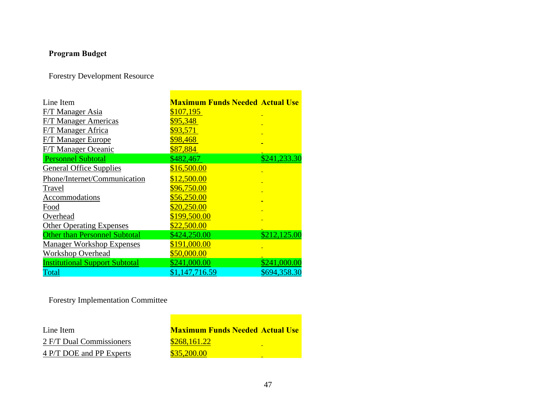### **Program Budget**

Forestry Development Resource

| Line Item                             | <b>Maximum Funds Needed Actual Use</b> |              |
|---------------------------------------|----------------------------------------|--------------|
| F/T Manager Asia                      | \$107,195                              |              |
| <b>F/T Manager Americas</b>           | \$95,348                               |              |
| F/T Manager Africa                    | \$93,571                               |              |
| <b>F/T Manager Europe</b>             | \$98,468                               |              |
| F/T Manager Oceanic                   | \$87,884                               |              |
| <b>Personnel Subtotal</b>             | \$482,467                              | \$241,233.30 |
| <b>General Office Supplies</b>        | \$16,500.00                            |              |
| Phone/Internet/Communication          | \$12,500.00                            |              |
| Travel                                | \$96,750.00                            |              |
| Accommodations                        | \$56,250.00                            |              |
| Food                                  | \$20,250.00                            |              |
| Overhead                              | \$199,500.00                           |              |
| <b>Other Operating Expenses</b>       | \$22,500.00                            |              |
| <b>Other than Personnel Subtotal</b>  | \$424,250.00                           | \$212,125.00 |
| <b>Manager Workshop Expenses</b>      | \$191,000.00                           |              |
| <b>Workshop Overhead</b>              | \$50,000.00                            |              |
| <b>Institutional Support Subtotal</b> | \$241,000.00                           | \$241,000.00 |
| Total                                 | \$1,147,716.59                         | \$694,358.30 |

Forestry Implementation Committee

| Line Item                | <b>Maximum Funds Needed Actual Use</b> |
|--------------------------|----------------------------------------|
| 2 F/T Dual Commissioners | \$268,161.22<br>-                      |
| 4 P/T DOE and PP Experts | \$35,200.00<br>-                       |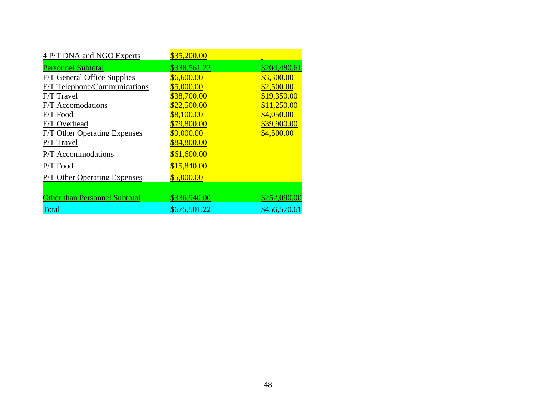| 4 P/T DNA and NGO Experts            | \$35,200.00  |              |
|--------------------------------------|--------------|--------------|
| <b>Personnel Subtotal</b>            | \$338,561.22 | \$204,480.61 |
| <b>F/T General Office Supplies</b>   | \$6,600.00   | \$3,300.00   |
| <b>F/T Telephone/Communications</b>  | \$5,000.00   | \$2,500.00   |
| F/T Travel                           | \$38,700.00  | \$19,350.00  |
| F/T Accomodations                    | \$22,500.00  | \$11,250.00  |
| F/T Food                             | \$8,100.00   | \$4,050.00   |
| F/T Overhead                         | \$79,800.00  | \$39,900.00  |
| <b>F/T Other Operating Expenses</b>  | \$9,000.00   | \$4,500.00   |
| P/T Travel                           | \$84,800.00  |              |
| P/T Accommodations                   | \$61,600.00  |              |
| P/T Food                             | \$15,840.00  |              |
| <b>P/T Other Operating Expenses</b>  | \$5,000.00   |              |
|                                      |              |              |
| <b>Other than Personnel Subtotal</b> | \$336,940.00 | \$252,090.00 |
| Total                                | \$675,501.22 | \$456,570.61 |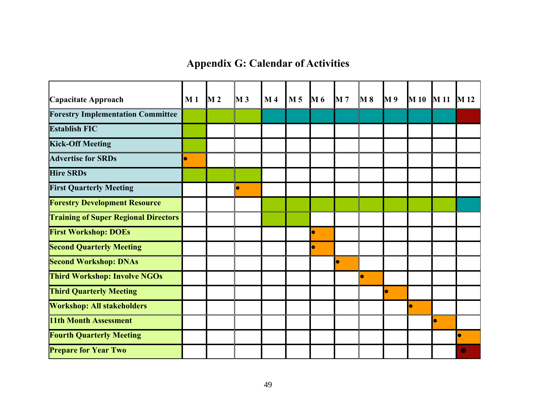**Appendix G: Calendar of Activities** 

<span id="page-48-0"></span>

| Capacitate Approach                         | M <sub>1</sub> | $\mathbf{M}$ 2 | $\bf{M}$ 3 | M <sub>4</sub> | M <sub>5</sub> | $\mathbf{M}$ 6 | <b>M</b> 7 | $\mathbf{M}$ 8 | <b>M9</b> |    | M 10 M 11 M 12 |  |
|---------------------------------------------|----------------|----------------|------------|----------------|----------------|----------------|------------|----------------|-----------|----|----------------|--|
| <b>Forestry Implementation Committee</b>    |                |                |            |                |                |                |            |                |           |    |                |  |
| <b>Establish FIC</b>                        |                |                |            |                |                |                |            |                |           |    |                |  |
| <b>Kick-Off Meeting</b>                     |                |                |            |                |                |                |            |                |           |    |                |  |
| <b>Advertise for SRDs</b>                   | $\bullet$      |                |            |                |                |                |            |                |           |    |                |  |
| <b>Hire SRDs</b>                            |                |                |            |                |                |                |            |                |           |    |                |  |
| <b>First Quarterly Meeting</b>              |                |                | $\bullet$  |                |                |                |            |                |           |    |                |  |
| <b>Forestry Development Resource</b>        |                |                |            |                |                |                |            |                |           |    |                |  |
| <b>Training of Super Regional Directors</b> |                |                |            |                |                |                |            |                |           |    |                |  |
| <b>First Workshop: DOEs</b>                 |                |                |            |                |                |                |            |                |           |    |                |  |
| <b>Second Quarterly Meeting</b>             |                |                |            |                |                |                |            |                |           |    |                |  |
| <b>Second Workshop: DNAs</b>                |                |                |            |                |                |                | $\bullet$  |                |           |    |                |  |
| <b>Third Workshop: Involve NGOs</b>         |                |                |            |                |                |                |            | $\bullet$      |           |    |                |  |
| <b>Third Quarterly Meeting</b>              |                |                |            |                |                |                |            |                | $\bullet$ |    |                |  |
| <b>Workshop: All stakeholders</b>           |                |                |            |                |                |                |            |                |           | lo |                |  |
| <b>11th Month Assessment</b>                |                |                |            |                |                |                |            |                |           |    | $\bullet$      |  |
| <b>Fourth Quarterly Meeting</b>             |                |                |            |                |                |                |            |                |           |    |                |  |
| <b>Prepare for Year Two</b>                 |                |                |            |                |                |                |            |                |           |    |                |  |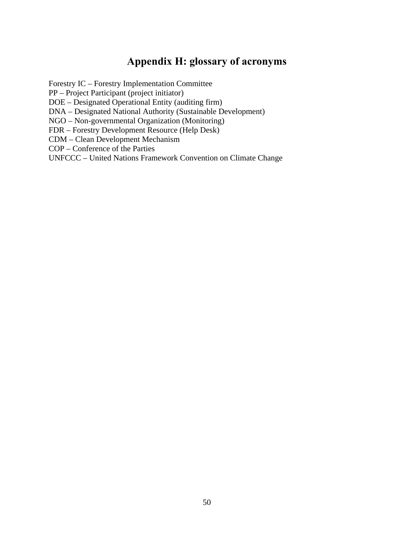### **Appendix H: glossary of acronyms**

<span id="page-49-0"></span>Forestry IC – Forestry Implementation Committee

PP – Project Participant (project initiator)

DOE – Designated Operational Entity (auditing firm)

DNA – Designated National Authority (Sustainable Development)

NGO – Non-governmental Organization (Monitoring)

FDR – Forestry Development Resource (Help Desk)

CDM – Clean Development Mechanism

COP – Conference of the Parties

UNFCCC – United Nations Framework Convention on Climate Change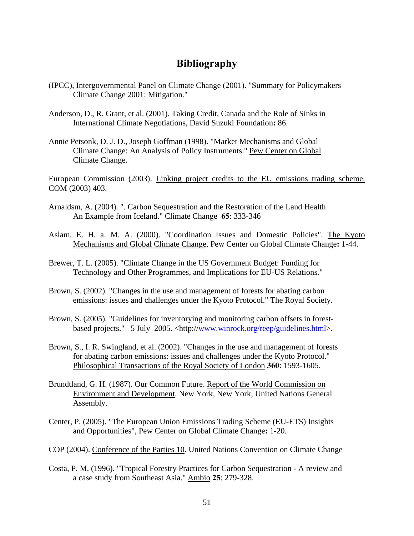### **Bibliography**

- <span id="page-50-0"></span>(IPCC), Intergovernmental Panel on Climate Change (2001). "Summary for Policymakers Climate Change 2001: Mitigation."
- Anderson, D., R. Grant, et al. (2001). Taking Credit, Canada and the Role of Sinks in International Climate Negotiations, David Suzuki Foundation**:** 86.
- Annie Petsonk, D. J. D., Joseph Goffman (1998). "Market Mechanisms and Global Climate Change: An Analysis of Policy Instruments." Pew Center on Global Climate Change.

European Commission (2003). Linking project credits to the EU emissions trading scheme. COM (2003) 403.

- Arnaldsm, A. (2004). ". Carbon Sequestration and the Restoration of the Land Health An Example from Iceland." Climate Change **65**: 333-346
- Aslam, E. H. a. M. A. (2000). "Coordination Issues and Domestic Policies". The Kyoto Mechanisms and Global Climate Change, Pew Center on Global Climate Change**:** 1-44.
- Brewer, T. L. (2005). "Climate Change in the US Government Budget: Funding for Technology and Other Programmes, and Implications for EU-US Relations."
- Brown, S. (2002). "Changes in the use and management of forests for abating carbon emissions: issues and challenges under the Kyoto Protocol." The Royal Society.
- Brown, S. (2005). "Guidelines for inventorying and monitoring carbon offsets in forestbased projects." 5 July 2005. <http://[www.winrock.org/reep/guidelines.html>](http://www.winrock.org/reep/guidelines.html).
- Brown, S., I. R. Swingland, et al. (2002). "Changes in the use and management of forests for abating carbon emissions: issues and challenges under the Kyoto Protocol." Philosophical Transactions of the Royal Society of London **360**: 1593-1605.
- Brundtland, G. H. (1987). Our Common Future. Report of the World Commission on Environment and Development. New York, New York, United Nations General Assembly.
- Center, P. (2005). "The European Union Emissions Trading Scheme (EU-ETS) Insights and Opportunities", Pew Center on Global Climate Change**:** 1-20.
- COP (2004). Conference of the Parties 10. United Nations Convention on Climate Change
- Costa, P. M. (1996). "Tropical Forestry Practices for Carbon Sequestration A review and a case study from Southeast Asia." Ambio **25**: 279-328.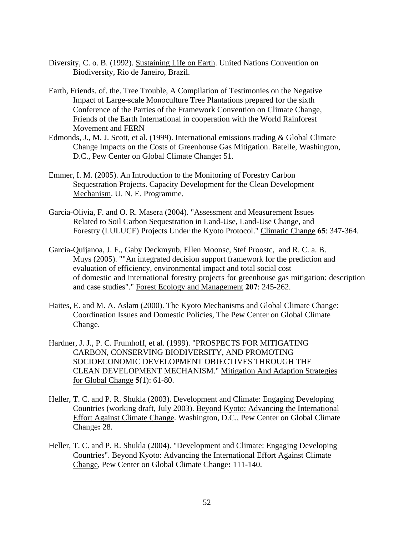- Diversity, C. o. B. (1992). Sustaining Life on Earth. United Nations Convention on Biodiversity, Rio de Janeiro, Brazil.
- Earth, Friends. of. the. Tree Trouble, A Compilation of Testimonies on the Negative Impact of Large-scale Monoculture Tree Plantations prepared for the sixth Conference of the Parties of the Framework Convention on Climate Change, Friends of the Earth International in cooperation with the World Rainforest Movement and FERN
- Edmonds, J., M. J. Scott, et al. (1999). International emissions trading & Global Climate Change Impacts on the Costs of Greenhouse Gas Mitigation. Batelle, Washington, D.C., Pew Center on Global Climate Change**:** 51.
- Emmer, I. M. (2005). An Introduction to the Monitoring of Forestry Carbon Sequestration Projects. Capacity Development for the Clean Development Mechanism. U. N. E. Programme.
- Garcia-Olivia, F. and O. R. Masera (2004). "Assessment and Measurement Issues Related to Soil Carbon Sequestration in Land-Use, Land-Use Change, and Forestry (LULUCF) Projects Under the Kyoto Protocol." Climatic Change **65**: 347-364.
- Garcia-Quijanoa, J. F., Gaby Deckmynb, Ellen Moonsc, Stef Proostc, and R. C. a. B. Muys (2005). ""An integrated decision support framework for the prediction and evaluation of efficiency, environmental impact and total social cost of domestic and international forestry projects for greenhouse gas mitigation: description and case studies"." Forest Ecology and Management **207**: 245-262.
- Haites, E. and M. A. Aslam (2000). The Kyoto Mechanisms and Global Climate Change: Coordination Issues and Domestic Policies, The Pew Center on Global Climate Change.
- Hardner, J. J., P. C. Frumhoff, et al. (1999). "PROSPECTS FOR MITIGATING CARBON, CONSERVING BIODIVERSITY, AND PROMOTING SOCIOECONOMIC DEVELOPMENT OBJECTIVES THROUGH THE CLEAN DEVELOPMENT MECHANISM." Mitigation And Adaption Strategies for Global Change **5**(1): 61-80.
- Heller, T. C. and P. R. Shukla (2003). Development and Climate: Engaging Developing Countries (working draft, July 2003). Beyond Kyoto: Advancing the International Effort Against Climate Change. Washington, D.C., Pew Center on Global Climate Change**:** 28.
- Heller, T. C. and P. R. Shukla (2004). "Development and Climate: Engaging Developing Countries". Beyond Kyoto: Advancing the International Effort Against Climate Change, Pew Center on Global Climate Change**:** 111-140.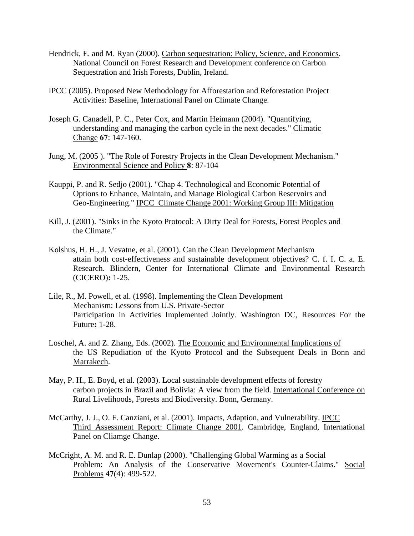- Hendrick, E. and M. Ryan (2000). Carbon sequestration: Policy, Science, and Economics. National Council on Forest Research and Development conference on Carbon Sequestration and Irish Forests, Dublin, Ireland.
- IPCC (2005). Proposed New Methodology for Afforestation and Reforestation Project Activities: Baseline, International Panel on Climate Change.
- Joseph G. Canadell, P. C., Peter Cox, and Martin Heimann (2004). "Quantifying, understanding and managing the carbon cycle in the next decades." Climatic Change **67**: 147-160.
- Jung, M. (2005 ). "The Role of Forestry Projects in the Clean Development Mechanism." Environmental Science and Policy **8**: 87-104
- Kauppi, P. and R. Sedjo (2001). "Chap 4. Technological and Economic Potential of Options to Enhance, Maintain, and Manage Biological Carbon Reservoirs and Geo-Engineering." IPCC Climate Change 2001: Working Group III: Mitigation
- Kill, J. (2001). "Sinks in the Kyoto Protocol: A Dirty Deal for Forests, Forest Peoples and the Climate."
- Kolshus, H. H., J. Vevatne, et al. (2001). Can the Clean Development Mechanism attain both cost-effectiveness and sustainable development objectives? C. f. I. C. a. E. Research. Blindern, Center for International Climate and Environmental Research (CICERO)**:** 1-25.
- Lile, R., M. Powell, et al. (1998). Implementing the Clean Development Mechanism: Lessons from U.S. Private-Sector Participation in Activities Implemented Jointly. Washington DC, Resources For the Future**:** 1-28.
- Loschel, A. and Z. Zhang, Eds. (2002). The Economic and Environmental Implications of the US Repudiation of the Kyoto Protocol and the Subsequent Deals in Bonn and Marrakech.
- May, P. H., E. Boyd, et al. (2003). Local sustainable development effects of forestry carbon projects in Brazil and Bolivia: A view from the field. International Conference on Rural Livelihoods, Forests and Biodiversity. Bonn, Germany.
- McCarthy, J. J., O. F. Canziani, et al. (2001). Impacts, Adaption, and Vulnerability. IPCC Third Assessment Report: Climate Change 2001. Cambridge, England, International Panel on Cliamge Change.
- McCright, A. M. and R. E. Dunlap (2000). "Challenging Global Warming as a Social Problem: An Analysis of the Conservative Movement's Counter-Claims." Social Problems **47**(4): 499-522.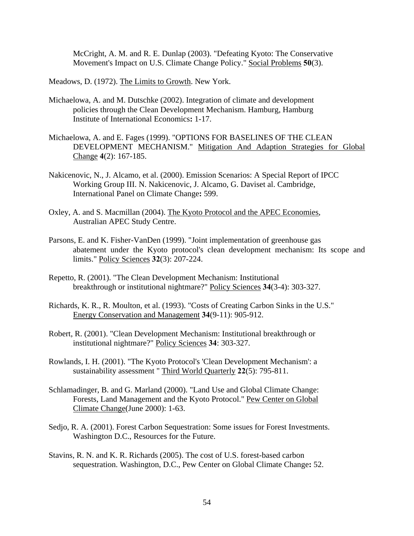McCright, A. M. and R. E. Dunlap (2003). "Defeating Kyoto: The Conservative Movement's Impact on U.S. Climate Change Policy." Social Problems **50**(3).

Meadows, D. (1972). The Limits to Growth. New York.

- Michaelowa, A. and M. Dutschke (2002). Integration of climate and development policies through the Clean Development Mechanism. Hamburg, Hamburg Institute of International Economics**:** 1-17.
- Michaelowa, A. and E. Fages (1999). "OPTIONS FOR BASELINES OF THE CLEAN DEVELOPMENT MECHANISM." Mitigation And Adaption Strategies for Global Change **4**(2): 167-185.
- Nakicenovic, N., J. Alcamo, et al. (2000). Emission Scenarios: A Special Report of IPCC Working Group III. N. Nakicenovic, J. Alcamo, G. Daviset al. Cambridge, International Panel on Climate Change**:** 599.
- Oxley, A. and S. Macmillan (2004). The Kyoto Protocol and the APEC Economies, Australian APEC Study Centre.
- Parsons, E. and K. Fisher-VanDen (1999). "Joint implementation of greenhouse gas abatement under the Kyoto protocol's clean development mechanism: Its scope and limits." Policy Sciences **32**(3): 207-224.
- Repetto, R. (2001). "The Clean Development Mechanism: Institutional breakthrough or institutional nightmare?" Policy Sciences **34**(3-4): 303-327.
- Richards, K. R., R. Moulton, et al. (1993). "Costs of Creating Carbon Sinks in the U.S." Energy Conservation and Management **34**(9-11): 905-912.
- Robert, R. (2001). "Clean Development Mechanism: Institutional breakthrough or institutional nightmare?" Policy Sciences **34**: 303-327.
- Rowlands, I. H. (2001). "The Kyoto Protocol's 'Clean Development Mechanism': a sustainability assessment " Third World Quarterly **22**(5): 795-811.
- Schlamadinger, B. and G. Marland (2000). "Land Use and Global Climate Change: Forests, Land Management and the Kyoto Protocol." Pew Center on Global Climate Change(June 2000): 1-63.
- Sedjo, R. A. (2001). Forest Carbon Sequestration: Some issues for Forest Investments. Washington D.C., Resources for the Future.
- Stavins, R. N. and K. R. Richards (2005). The cost of U.S. forest-based carbon sequestration. Washington, D.C., Pew Center on Global Climate Change**:** 52.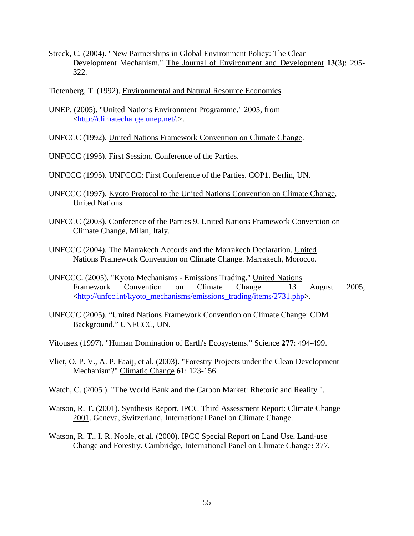- Streck, C. (2004). "New Partnerships in Global Environment Policy: The Clean Development Mechanism." The Journal of Environment and Development **13**(3): 295- 322.
- Tietenberg, T. (1992). Environmental and Natural Resource Economics.
- UNEP. (2005). "United Nations Environment Programme." 2005, from <<http://climatechange.unep.net/>.>.

UNFCCC (1992). United Nations Framework Convention on Climate Change.

UNFCCC (1995). First Session. Conference of the Parties.

UNFCCC (1995). UNFCCC: First Conference of the Parties. COP1. Berlin, UN.

- UNFCCC (1997). Kyoto Protocol to the United Nations Convention on Climate Change, United Nations
- UNFCCC (2003). Conference of the Parties 9. United Nations Framework Convention on Climate Change, Milan, Italy.
- UNFCCC (2004). The Marrakech Accords and the Marrakech Declaration. United Nations Framework Convention on Climate Change. Marrakech, Morocco.
- UNFCCC. (2005). "Kyoto Mechanisms Emissions Trading." United Nations Framework Convention on Climate Change 13 August 2005, <[http://unfcc.int/kyoto\\_mechanisms/emissions\\_trading/items/2731.php](http://unfcc.int/kyoto_mechanisms/emissions_trading/items/2731.php)>.
- UNFCCC (2005). "United Nations Framework Convention on Climate Change: CDM Background." UNFCCC, UN.
- Vitousek (1997). "Human Domination of Earth's Ecosystems." Science **277**: 494-499.
- Vliet, O. P. V., A. P. Faaij, et al. (2003). "Forestry Projects under the Clean Development Mechanism?" Climatic Change **61**: 123-156.
- Watch, C. (2005 ). "The World Bank and the Carbon Market: Rhetoric and Reality ".
- Watson, R. T. (2001). Synthesis Report. IPCC Third Assessment Report: Climate Change 2001. Geneva, Switzerland, International Panel on Climate Change.
- Watson, R. T., I. R. Noble, et al. (2000). IPCC Special Report on Land Use, Land-use Change and Forestry. Cambridge, International Panel on Climate Change**:** 377.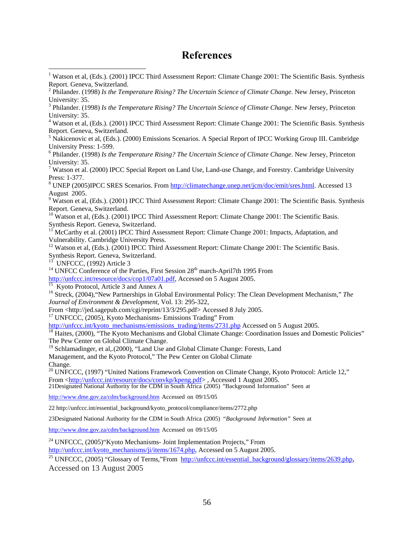#### **References**

University: 35. 4 Watson et al, (Eds.). (2001) IPCC Third Assessment Report: Climate Change 2001: The Scientific Basis. Synthesis Report. Geneva, Switzerland.

<sup>5</sup> Nakicenovic et al, (Eds.). (2000) Emissions Scenarios. A Special Report of IPCC Working Group III. Cambridge University Press: 1-599. 6

 Philander. (1998) *Is the Temperature Rising? The Uncertain Science of Climate Change*. New Jersey, Princeton University: 35.<br><sup>7</sup> Watson et al. (2000) IPCC Special Report on Land Use, Land-use Change, and Forestry. Cambridge University

Press: 1-377.<br><sup>8</sup> UNEP (2005)IPCC SRES Scenarios. From <http://climatechange.unep.net/jcm/doc/emit/sres.html>. Accessed 13

August 2005.<br><sup>9</sup> Watson et al, (Eds.). (2001) IPCC Third Assessment Report: Climate Change 2001: The Scientific Basis. Synthesis<br>Report. Geneva, Switzerland.

 $^{10}$  Watson et al, (Eds.). (2001) IPCC Third Assessment Report: Climate Change 2001: The Scientific Basis.<br>Synthesis Report. Geneva, Switzerland.

<sup>11</sup> McCarthy et al. (2001) IPCC Third Assessment Report: Climate Change 2001: Impacts, Adaptation, and Vulnerability. Cambridge University Press.

<sup>12</sup> Watson et al, (Eds.). (2001) IPCC Third Assessment Report: Climate Change 2001: The Scientific Basis. Synthesis Report. Geneva, Switzerland.<br><sup>13</sup> UNFCCC, (1992) Article 3

<sup>14</sup> UNFCC Conference of the Parties, First Session  $28<sup>th</sup>$  march-April7th 1995 From

[http://unfccc.int/resource/docs/cop1/07a01.pdf,](http://unfccc.int/resource/docs/cop1/07a01.pdf) Accessed on 5 August 2005.<br><sup>[15](http://unfccc.int/resource/docs/cop1/07a01.pdf)</sup> Kyoto Protocol, Article 3 and Annex A<br><sup>16</sup> Streck, (2004), "New Partnerships in Global Environmental Policy: The Clean Development Mechanism," *Journal of Environment & Development*, Vol. 13: 295-322,

From <http://jed.sagepub.com/cgi/reprint/13/3/295.pdf> Accessed 8 July 2005. 17 UNFCCC, (2005), Kyoto Mechanisms- Emissions Trading" From

http://unfccc.int/kyoto\_mechanisms/emissions\_trading/items/2731.php Accessed on 5 August 2005.<br><sup>[18](http://unfccc.int/kyoto_mechanisms/emissions_trading/items/2731.php)</sup> Haites, (2000), "The Kyoto Mechanisms and Global Climate Change: Coordination Issues and Domestic Policies" The Pew Center on Global Climate Change.<br><sup>19</sup> Schlamadinger, et al,.(2000), "Land Use and Global Climate Change: Forests, Land

Management, and the Kyoto Protocol," The Pew Center on Global Climate Change.

<sup>20</sup> UNFCCC, (1997) "United Nations Framework Convention on Climate Change, Kyoto Protocol: Article 12,"<br>From <http://unfccc.int/resource/docs/convkp/kpeng.pdf>, Accessed 1 August 2005. 21Desig[nated National Authority](http://unfccc.int/resource/docs/convkp/kpeng.pdf) for the CDM in South Africa (2005) "Background Information" Seen at

<http://www.dme.gov.za/cdm/background.htm> Accessed on 09/15/05

22 http://unfccc.int/essential\_background/kyoto\_protocol/compliance/items/2772.php

23Designated National Authority for the CDM in South Africa (2005) *"Background Information"* Seen at

<http://www.dme.gov.za/cdm/background.htm> Accessed on 09/15/05

<sup>24</sup> UNFCCC, (2005)"Kyoto Mechanisms- Joint Implementation Projects," From http://unfccc.int/kyoto\_mechanisms/ji/items/1674.php, Accessed on 5 August 2005.

<sup>25</sup> UNFCCC, (2005) "Glossary of Terms,"From [http://unfccc.int/essential\\_background/glossary/items/2639.php](http://unfccc.int/essential_background/glossary/items/2639.php), Accessed on 13 August 2005

<span id="page-55-0"></span><sup>&</sup>lt;sup>1</sup> Watson et al, (Eds.). (2001) IPCC Third Assessment Report: Climate Change 2001: The Scientific Basis. Synthesis Report. Geneva, Switzerland. <sup>2</sup>

Philander. (1998) *Is the Temperature Rising? The Uncertain Science of Climate Change*. New Jersey, Princeton University: 35.

Philander. (1998) *Is the Temperature Rising? The Uncertain Science of Climate Change*. New Jersey, Princeton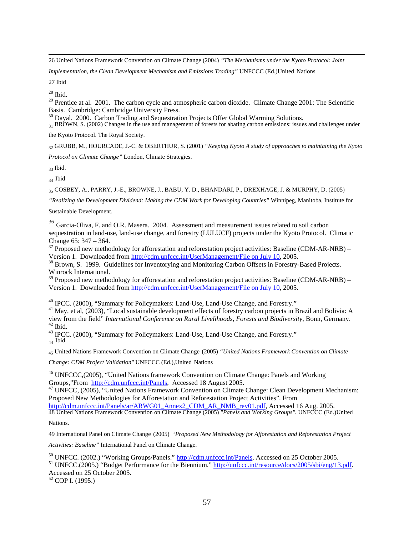26 United Nations Framework Convention on Climate Change (2004) "*The Mechanisms under the Kyoto Protocol: Joint* 

*Implementation, the Clean Development Mechanism and Emissions Trading"* UNFCCC (Ed.)United Nations

27 Ibid

 $28$  Ibid.

<sup>29</sup> Prentice at al. 2001. The carbon cycle and atmospheric carbon dioxide. Climate Change 2001: The Scientific Basis. Cambridge: Cambridge University Press.<br><sup>30</sup> Dayal. 2000. Carbon Trading and Sequestration Projects Offer Global Warming Solutions.

 $\frac{31}{21}$  BROWN, S. (2002) Changes in the use and management of forests for abating carbon emissions: issues and challenges under

the Kyoto Protocol. The Royal Society.

32 GRUBB, M., HOURCADE, J.-C. & OBERTHUR, S. (2001) *"Keeping Kyoto A study of approaches to maintaining the Kyoto Protocol on Climate Change"* London, Climate Strategies.

 $33$  Ibid.

<sup>34</sup> Ibid

35 COSBEY, A., PARRY, J.-E., BROWNE, J., BABU, Y. D., BHANDARI, P., DREXHAGE, J. & MURPHY, D. (2005)

*"Realizing the Development Dividend: Making the CDM Work for Developing Countries"* Winnipeg, Manitoba, Institute for

Sustainable Development.

<sup>36</sup> Garcia-Oliva, F. and O.R. Masera. 2004. Assessment and measurement issues related to soil carbon sequestration in land-use, land-use change, and forestry (LULUCF) projects under the Kyoto Protocol. Climatic

Change 65:  $347 - 364$ .<br><sup>37</sup> Proposed new methodology for afforestation and reforestation project activities: Baseline (CDM-AR-NRB) – Version 1. Downloaded from http://cdm.unfccc.int/UserManagement/File on July 10, 2005.

 $^{38}$  Brown, S. 1999. Guideline[s for Inventorying and Monitoring Carbon Offsets in Fo](http://cdm.unfccc.int/UserManagement/File on July 10)restry-Based Projects. Winrock International.<br><sup>39</sup> Proposed new methodology for afforestation and reforestation project activities: Baseline (CDM-AR-NRB) –

Version 1. Downloaded from [http://cdm.unfccc.int/UserManagement/File on July 10,](http://cdm.unfccc.int/UserManagement/File on July 10) 2005.

<sup>40</sup> IPCC. (2000), "Summary for Policymakers: Land-Use, Land-Use Change, and Forestry."<br><sup>41</sup> May, et al, (2003), "Local sustainable development effects of forestry carbon projects in Brazil and Bolivia: A view from the field" *International Conference on Rural Livelihoods, Forests and Biodiversity*, Bonn, Germany. 42 Ibid.

43 IPCC. (2000), "Summary for Policymakers: Land-Use, Land-Use Change, and Forestry."

<sub>44</sub> Ibid

45 United Nations Framework Convention on Climate Change (2005) *"United Nations Framework Convention on Climate*

*Change: CDM Project Validation"* UNFCCC (Ed.),United Nations

<sup>46</sup> UNFCCC,(2005), "United Nations framework Convention on Climate Change: Panels and Working Groups,"From  $\frac{http://cdm.unfccc.int/Panels}{http://cdm.unfccc.int/Panels}$ , Accessed 18 August 2005.

<sup>47</sup> UNFCC, (2005), "United Nations Framework Convention on Climate Change: Clean Development Mechanism: Proposed New Methodologies for Afforestation and Reforestation Project Activities". From

[http://cdm.unfccc.int/Panels/ar/ARWG01\\_Annex2\\_CDM\\_AR\\_NMB\\_rev01.pdf,](http://cdm.unfccc.int/Panels/ar/ARWG01_Annex2_CDM_AR_NMB_rev01.pdf) Accessed 16 Aug. 2005. 48 United Nations Framework Convention on Climate Change (2005) *"Panels and Working Groups".* UNFCCC (Ed.)United

Nations.

49 International Panel on Climate Change (2005) *"Proposed New Methodology for Afforestation and Reforestation Project* 

*Activities: Baseline"* International Panel on Climate Change.

<sup>50</sup> UNFCC. (2002.) "Working Groups/Panels."  $\frac{http://cdm.unfcc.int/Panels}{http://cdm.unfcc.int/Panels},$  Accessed on 25 October 2005.<br><sup>51</sup> UNFCC.(2005.) "Budget Performance for the Biennium."  $\frac{http://unfcc.in/resource/docs/2005/sbi/eng/13.pdf}{http://unfcc.in/resource/docs/2005/sbi/eng/13.pdf}.$ Accessed on 25 October 2005. 52 COP I. (1995.)